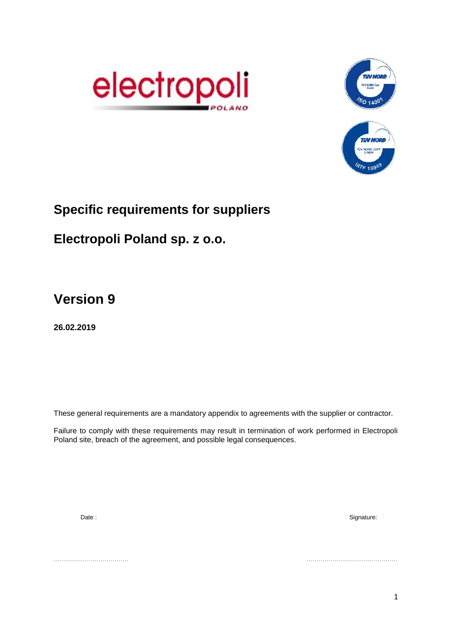



# **Specific requirements for suppliers**

# **Electropoli Poland sp. z o.o.**

**Version 9**

**26.02.2019**

These general requirements are a mandatory appendix to agreements with the supplier or contractor.

Failure to comply with these requirements may result in termination of work performed in Electropoli Poland site, breach of the agreement, and possible legal consequences.

Date : Signature:

………………………………. ………………………………………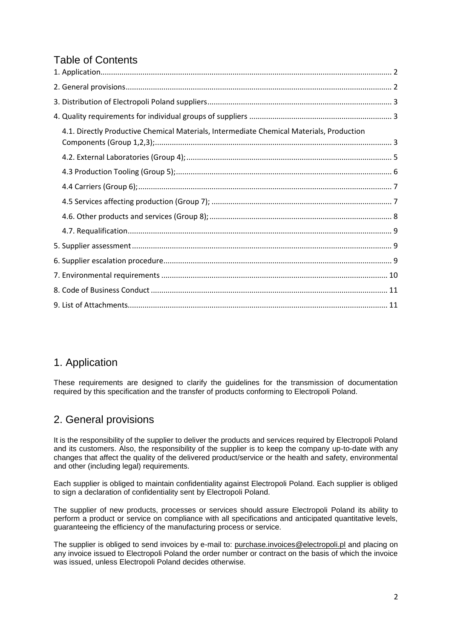# Table of Contents

| 4.1. Directly Productive Chemical Materials, Intermediate Chemical Materials, Production |  |
|------------------------------------------------------------------------------------------|--|
|                                                                                          |  |
|                                                                                          |  |
|                                                                                          |  |
|                                                                                          |  |
|                                                                                          |  |
|                                                                                          |  |
|                                                                                          |  |
|                                                                                          |  |
|                                                                                          |  |
|                                                                                          |  |
|                                                                                          |  |
|                                                                                          |  |

## <span id="page-1-0"></span>1. Application

These requirements are designed to clarify the guidelines for the transmission of documentation required by this specification and the transfer of products conforming to Electropoli Poland.

# <span id="page-1-1"></span>2. General provisions

It is the responsibility of the supplier to deliver the products and services required by Electropoli Poland and its customers. Also, the responsibility of the supplier is to keep the company up-to-date with any changes that affect the quality of the delivered product/service or the health and safety, environmental and other (including legal) requirements.

Each supplier is obliged to maintain confidentiality against Electropoli Poland. Each supplier is obliged to sign a declaration of confidentiality sent by Electropoli Poland.

The supplier of new products, processes or services should assure Electropoli Poland its ability to perform a product or service on compliance with all specifications and anticipated quantitative levels, guaranteeing the efficiency of the manufacturing process or service.

The supplier is obliged to send invoices by e-mail to: [purchase.invoices@electropoli.pl](mailto:purchase.invoices@electropoli.pl) and placing on any invoice issued to Electropoli Poland the order number or contract on the basis of which the invoice was issued, unless Electropoli Poland decides otherwise.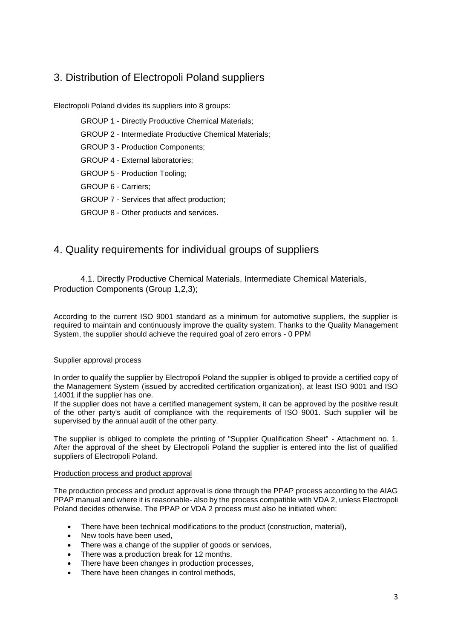# <span id="page-2-0"></span>3. Distribution of Electropoli Poland suppliers

Electropoli Poland divides its suppliers into 8 groups:

GROUP 1 - Directly Productive Chemical Materials; GROUP 2 - Intermediate Productive Chemical Materials; GROUP 3 - Production Components; GROUP 4 - External laboratories; GROUP 5 - Production Tooling; GROUP 6 - Carriers; GROUP 7 - Services that affect production; GROUP 8 - Other products and services.

# <span id="page-2-1"></span>4. Quality requirements for individual groups of suppliers

<span id="page-2-2"></span>4.1. Directly Productive Chemical Materials, Intermediate Chemical Materials, Production Components (Group 1,2,3);

According to the current ISO 9001 standard as a minimum for automotive suppliers, the supplier is required to maintain and continuously improve the quality system. Thanks to the Quality Management System, the supplier should achieve the required goal of zero errors - 0 PPM

#### Supplier approval process

In order to qualify the supplier by Electropoli Poland the supplier is obliged to provide a certified copy of the Management System (issued by accredited certification organization), at least ISO 9001 and ISO 14001 if the supplier has one.

If the supplier does not have a certified management system, it can be approved by the positive result of the other party's audit of compliance with the requirements of ISO 9001. Such supplier will be supervised by the annual audit of the other party.

The supplier is obliged to complete the printing of "Supplier Qualification Sheet" - Attachment no. 1. After the approval of the sheet by Electropoli Poland the supplier is entered into the list of qualified suppliers of Electropoli Poland.

#### Production process and product approval

The production process and product approval is done through the PPAP process according to the AIAG PPAP manual and where it is reasonable- also by the process compatible with VDA 2, unless Electropoli Poland decides otherwise. The PPAP or VDA 2 process must also be initiated when:

- There have been technical modifications to the product (construction, material),
- New tools have been used,
- There was a change of the supplier of goods or services.
- There was a production break for 12 months,
- There have been changes in production processes,
- There have been changes in control methods,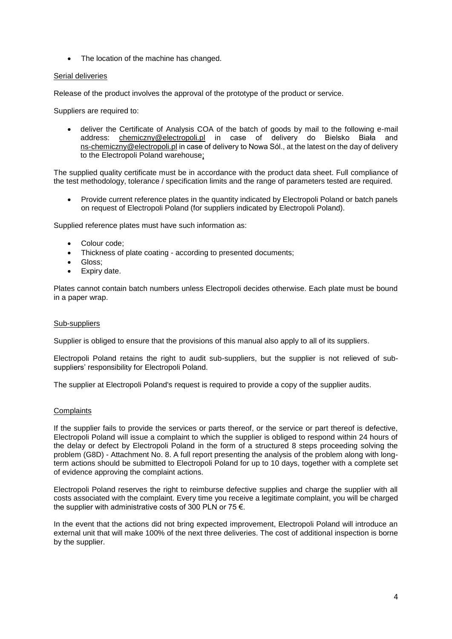• The location of the machine has changed.

#### Serial deliveries

Release of the product involves the approval of the prototype of the product or service.

Suppliers are required to:

 deliver the Certificate of Analysis COA of the batch of goods by mail to the following e-mail address: [chemiczny@electropoli.pl](mailto:chemiczny@electropoli.pl) in case of delivery do Bielsko Biała and [ns-chemiczny@electropoli.pl](mailto:nschemiczny@electropoli.pl) in case of delivery to Nowa Sól., at the latest on the day of delivery to the Electropoli Poland warehouse;

The supplied quality certificate must be in accordance with the product data sheet. Full compliance of the test methodology, tolerance / specification limits and the range of parameters tested are required.

 Provide current reference plates in the quantity indicated by Electropoli Poland or batch panels on request of Electropoli Poland (for suppliers indicated by Electropoli Poland).

Supplied reference plates must have such information as:

- Colour code;
- Thickness of plate coating according to presented documents;
- Gloss;
- Expiry date.

Plates cannot contain batch numbers unless Electropoli decides otherwise. Each plate must be bound in a paper wrap.

#### Sub-suppliers

Supplier is obliged to ensure that the provisions of this manual also apply to all of its suppliers.

Electropoli Poland retains the right to audit sub-suppliers, but the supplier is not relieved of subsuppliers' responsibility for Electropoli Poland.

The supplier at Electropoli Poland's request is required to provide a copy of the supplier audits.

#### **Complaints**

If the supplier fails to provide the services or parts thereof, or the service or part thereof is defective, Electropoli Poland will issue a complaint to which the supplier is obliged to respond within 24 hours of the delay or defect by Electropoli Poland in the form of a structured 8 steps proceeding solving the problem (G8D) - Attachment No. 8. A full report presenting the analysis of the problem along with longterm actions should be submitted to Electropoli Poland for up to 10 days, together with a complete set of evidence approving the complaint actions.

Electropoli Poland reserves the right to reimburse defective supplies and charge the supplier with all costs associated with the complaint. Every time you receive a legitimate complaint, you will be charged the supplier with administrative costs of 300 PLN or 75  $\epsilon$ .

In the event that the actions did not bring expected improvement, Electropoli Poland will introduce an external unit that will make 100% of the next three deliveries. The cost of additional inspection is borne by the supplier.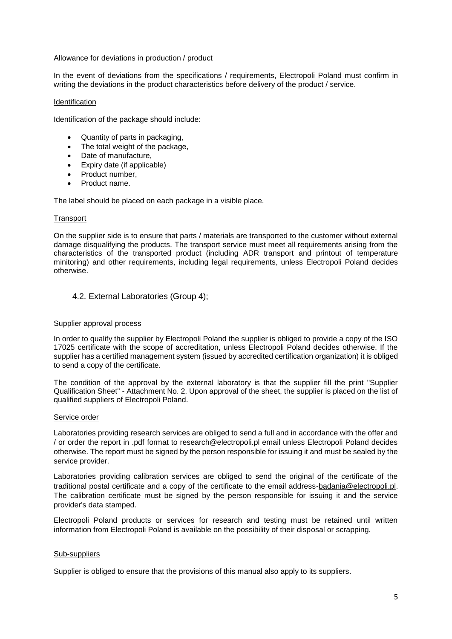#### Allowance for deviations in production / product

In the event of deviations from the specifications / requirements, Electropoli Poland must confirm in writing the deviations in the product characteristics before delivery of the product / service.

#### Identification

Identification of the package should include:

- Quantity of parts in packaging,
- The total weight of the package,
- Date of manufacture,
- Expiry date (if applicable)
- Product number,
- Product name.

The label should be placed on each package in a visible place.

#### **Transport**

On the supplier side is to ensure that parts / materials are transported to the customer without external damage disqualifying the products. The transport service must meet all requirements arising from the characteristics of the transported product (including ADR transport and printout of temperature minitoring) and other requirements, including legal requirements, unless Electropoli Poland decides otherwise.

#### <span id="page-4-0"></span>4.2. External Laboratories (Group 4);

#### Supplier approval process

In order to qualify the supplier by Electropoli Poland the supplier is obliged to provide a copy of the ISO 17025 certificate with the scope of accreditation, unless Electropoli Poland decides otherwise. If the supplier has a certified management system (issued by accredited certification organization) it is obliged to send a copy of the certificate.

The condition of the approval by the external laboratory is that the supplier fill the print "Supplier Qualification Sheet" - Attachment No. 2. Upon approval of the sheet, the supplier is placed on the list of qualified suppliers of Electropoli Poland.

#### Service order

Laboratories providing research services are obliged to send a full and in accordance with the offer and / or order the report in .pdf format to research@electropoli.pl email unless Electropoli Poland decides otherwise. The report must be signed by the person responsible for issuing it and must be sealed by the service provider.

Laboratories providing calibration services are obliged to send the original of the certificate of the traditional postal certificate and a copy of the certificate to the email address-badania@electropoli.pl. The calibration certificate must be signed by the person responsible for issuing it and the service provider's data stamped.

Electropoli Poland products or services for research and testing must be retained until written information from Electropoli Poland is available on the possibility of their disposal or scrapping.

#### Sub-suppliers

Supplier is obliged to ensure that the provisions of this manual also apply to its suppliers.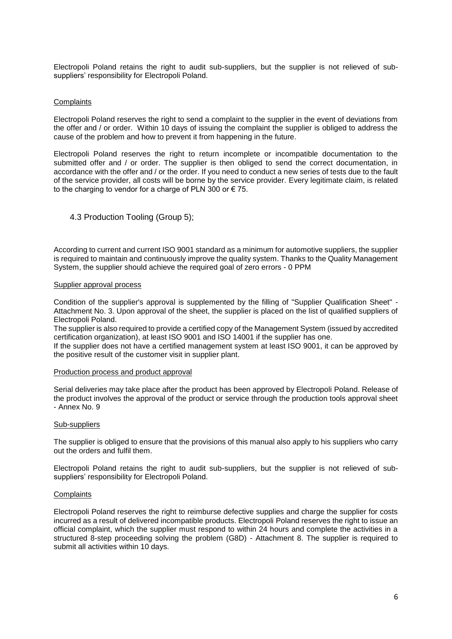Electropoli Poland retains the right to audit sub-suppliers, but the supplier is not relieved of subsuppliers' responsibility for Electropoli Poland.

#### **Complaints**

Electropoli Poland reserves the right to send a complaint to the supplier in the event of deviations from the offer and / or order. Within 10 days of issuing the complaint the supplier is obliged to address the cause of the problem and how to prevent it from happening in the future.

Electropoli Poland reserves the right to return incomplete or incompatible documentation to the submitted offer and / or order. The supplier is then obliged to send the correct documentation, in accordance with the offer and / or the order. If you need to conduct a new series of tests due to the fault of the service provider, all costs will be borne by the service provider. Every legitimate claim, is related to the charging to vendor for a charge of PLN 300 or € 75.

#### <span id="page-5-0"></span>4.3 Production Tooling (Group 5);

According to current and current ISO 9001 standard as a minimum for automotive suppliers, the supplier is required to maintain and continuously improve the quality system. Thanks to the Quality Management System, the supplier should achieve the required goal of zero errors - 0 PPM

#### Supplier approval process

Condition of the supplier's approval is supplemented by the filling of "Supplier Qualification Sheet" - Attachment No. 3. Upon approval of the sheet, the supplier is placed on the list of qualified suppliers of Electropoli Poland.

The supplier is also required to provide a certified copy of the Management System (issued by accredited certification organization), at least ISO 9001 and ISO 14001 if the supplier has one.

If the supplier does not have a certified management system at least ISO 9001, it can be approved by the positive result of the customer visit in supplier plant.

#### Production process and product approval

Serial deliveries may take place after the product has been approved by Electropoli Poland. Release of the product involves the approval of the product or service through the production tools approval sheet - Annex No. 9

#### Sub-suppliers

The supplier is obliged to ensure that the provisions of this manual also apply to his suppliers who carry out the orders and fulfil them.

Electropoli Poland retains the right to audit sub-suppliers, but the supplier is not relieved of subsuppliers' responsibility for Electropoli Poland.

#### **Complaints**

Electropoli Poland reserves the right to reimburse defective supplies and charge the supplier for costs incurred as a result of delivered incompatible products. Electropoli Poland reserves the right to issue an official complaint, which the supplier must respond to within 24 hours and complete the activities in a structured 8-step proceeding solving the problem (G8D) - Attachment 8. The supplier is required to submit all activities within 10 days.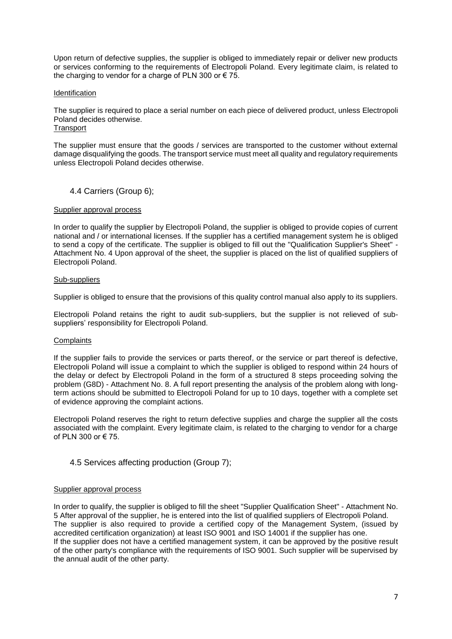Upon return of defective supplies, the supplier is obliged to immediately repair or deliver new products or services conforming to the requirements of Electropoli Poland. Every legitimate claim, is related to the charging to vendor for a charge of PLN 300 or  $\epsilon$  75.

#### **Identification**

The supplier is required to place a serial number on each piece of delivered product, unless Electropoli Poland decides otherwise.

**Transport** 

The supplier must ensure that the goods / services are transported to the customer without external damage disqualifying the goods. The transport service must meet all quality and requiatory requirements unless Electropoli Poland decides otherwise.

#### <span id="page-6-0"></span>4.4 Carriers (Group 6);

#### Supplier approval process

In order to qualify the supplier by Electropoli Poland, the supplier is obliged to provide copies of current national and / or international licenses. If the supplier has a certified management system he is obliged to send a copy of the certificate. The supplier is obliged to fill out the "Qualification Supplier's Sheet" - Attachment No. 4 Upon approval of the sheet, the supplier is placed on the list of qualified suppliers of Electropoli Poland.

#### Sub-suppliers

Supplier is obliged to ensure that the provisions of this quality control manual also apply to its suppliers.

Electropoli Poland retains the right to audit sub-suppliers, but the supplier is not relieved of subsuppliers' responsibility for Electropoli Poland.

#### **Complaints**

If the supplier fails to provide the services or parts thereof, or the service or part thereof is defective, Electropoli Poland will issue a complaint to which the supplier is obliged to respond within 24 hours of the delay or defect by Electropoli Poland in the form of a structured 8 steps proceeding solving the problem (G8D) - Attachment No. 8. A full report presenting the analysis of the problem along with longterm actions should be submitted to Electropoli Poland for up to 10 days, together with a complete set of evidence approving the complaint actions.

Electropoli Poland reserves the right to return defective supplies and charge the supplier all the costs associated with the complaint. Every legitimate claim, is related to the charging to vendor for a charge of PLN 300 or € 75.

#### <span id="page-6-1"></span>4.5 Services affecting production (Group 7);

#### Supplier approval process

In order to qualify, the supplier is obliged to fill the sheet "Supplier Qualification Sheet" - Attachment No. 5 After approval of the supplier, he is entered into the list of qualified suppliers of Electropoli Poland. The supplier is also required to provide a certified copy of the Management System, (issued by accredited certification organization) at least ISO 9001 and ISO 14001 if the supplier has one. If the supplier does not have a certified management system, it can be approved by the positive result of the other party's compliance with the requirements of ISO 9001. Such supplier will be supervised by the annual audit of the other party.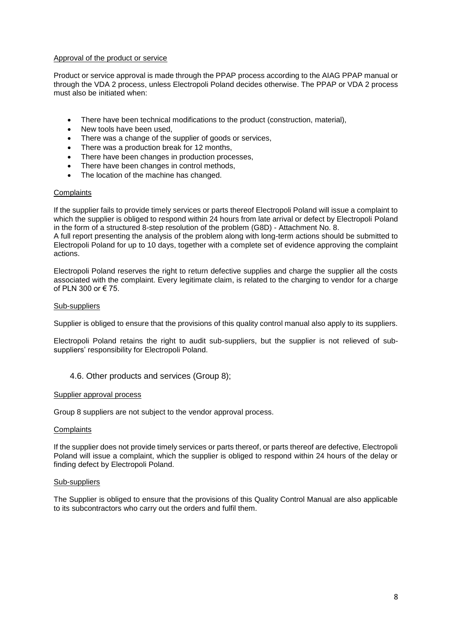#### Approval of the product or service

Product or service approval is made through the PPAP process according to the AIAG PPAP manual or through the VDA 2 process, unless Electropoli Poland decides otherwise. The PPAP or VDA 2 process must also be initiated when:

- There have been technical modifications to the product (construction, material),
- New tools have been used.
- There was a change of the supplier of goods or services.
- There was a production break for 12 months,
- There have been changes in production processes,
- There have been changes in control methods,
- The location of the machine has changed.

#### **Complaints**

If the supplier fails to provide timely services or parts thereof Electropoli Poland will issue a complaint to which the supplier is obliged to respond within 24 hours from late arrival or defect by Electropoli Poland in the form of a structured 8-step resolution of the problem (G8D) - Attachment No. 8.

A full report presenting the analysis of the problem along with long-term actions should be submitted to Electropoli Poland for up to 10 days, together with a complete set of evidence approving the complaint actions.

Electropoli Poland reserves the right to return defective supplies and charge the supplier all the costs associated with the complaint. Every legitimate claim, is related to the charging to vendor for a charge of PLN 300 or € 75.

#### Sub-suppliers

Supplier is obliged to ensure that the provisions of this quality control manual also apply to its suppliers.

Electropoli Poland retains the right to audit sub-suppliers, but the supplier is not relieved of subsuppliers' responsibility for Electropoli Poland.

#### <span id="page-7-0"></span>4.6. Other products and services (Group 8);

#### Supplier approval process

Group 8 suppliers are not subject to the vendor approval process.

#### **Complaints**

If the supplier does not provide timely services or parts thereof, or parts thereof are defective, Electropoli Poland will issue a complaint, which the supplier is obliged to respond within 24 hours of the delay or finding defect by Electropoli Poland.

#### Sub-suppliers

The Supplier is obliged to ensure that the provisions of this Quality Control Manual are also applicable to its subcontractors who carry out the orders and fulfil them.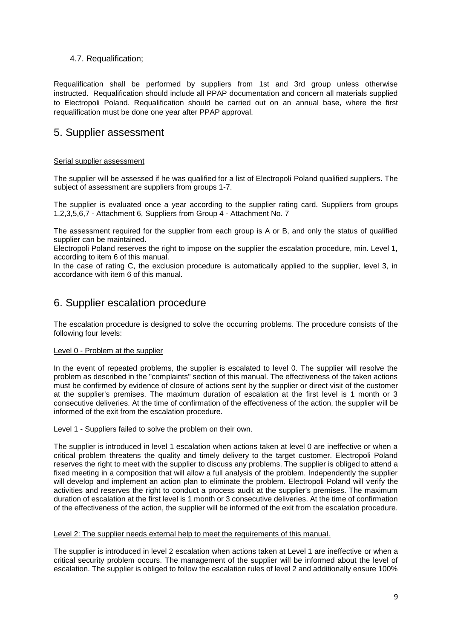#### 4.7. Requalification;

Requalification shall be performed by suppliers from 1st and 3rd group unless otherwise instructed. Requalification should include all PPAP documentation and concern all materials supplied to Electropoli Poland. Requalification should be carried out on an annual base, where the first requalification must be done one year after PPAP approval.

### <span id="page-8-0"></span>5. Supplier assessment

#### Serial supplier assessment

The supplier will be assessed if he was qualified for a list of Electropoli Poland qualified suppliers. The subject of assessment are suppliers from groups 1-7.

The supplier is evaluated once a year according to the supplier rating card. Suppliers from groups 1,2,3,5,6,7 - Attachment 6, Suppliers from Group 4 - Attachment No. 7

The assessment required for the supplier from each group is A or B, and only the status of qualified supplier can be maintained.

Electropoli Poland reserves the right to impose on the supplier the escalation procedure, min. Level 1, according to item 6 of this manual.

In the case of rating C, the exclusion procedure is automatically applied to the supplier, level 3, in accordance with item 6 of this manual.

## <span id="page-8-1"></span>6. Supplier escalation procedure

The escalation procedure is designed to solve the occurring problems. The procedure consists of the following four levels:

#### Level 0 - Problem at the supplier

In the event of repeated problems, the supplier is escalated to level 0. The supplier will resolve the problem as described in the "complaints" section of this manual. The effectiveness of the taken actions must be confirmed by evidence of closure of actions sent by the supplier or direct visit of the customer at the supplier's premises. The maximum duration of escalation at the first level is 1 month or 3 consecutive deliveries. At the time of confirmation of the effectiveness of the action, the supplier will be informed of the exit from the escalation procedure.

#### Level 1 - Suppliers failed to solve the problem on their own.

The supplier is introduced in level 1 escalation when actions taken at level 0 are ineffective or when a critical problem threatens the quality and timely delivery to the target customer. Electropoli Poland reserves the right to meet with the supplier to discuss any problems. The supplier is obliged to attend a fixed meeting in a composition that will allow a full analysis of the problem. Independently the supplier will develop and implement an action plan to eliminate the problem. Electropoli Poland will verify the activities and reserves the right to conduct a process audit at the supplier's premises. The maximum duration of escalation at the first level is 1 month or 3 consecutive deliveries. At the time of confirmation of the effectiveness of the action, the supplier will be informed of the exit from the escalation procedure.

#### Level 2: The supplier needs external help to meet the requirements of this manual.

The supplier is introduced in level 2 escalation when actions taken at Level 1 are ineffective or when a critical security problem occurs. The management of the supplier will be informed about the level of escalation. The supplier is obliged to follow the escalation rules of level 2 and additionally ensure 100%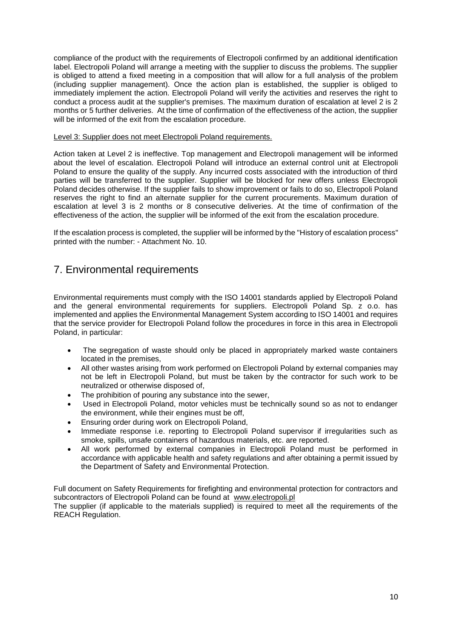compliance of the product with the requirements of Electropoli confirmed by an additional identification label. Electropoli Poland will arrange a meeting with the supplier to discuss the problems. The supplier is obliged to attend a fixed meeting in a composition that will allow for a full analysis of the problem (including supplier management). Once the action plan is established, the supplier is obliged to immediately implement the action. Electropoli Poland will verify the activities and reserves the right to conduct a process audit at the supplier's premises. The maximum duration of escalation at level 2 is 2 months or 5 further deliveries. At the time of confirmation of the effectiveness of the action, the supplier will be informed of the exit from the escalation procedure.

#### Level 3: Supplier does not meet Electropoli Poland requirements.

Action taken at Level 2 is ineffective. Top management and Electropoli management will be informed about the level of escalation. Electropoli Poland will introduce an external control unit at Electropoli Poland to ensure the quality of the supply. Any incurred costs associated with the introduction of third parties will be transferred to the supplier. Supplier will be blocked for new offers unless Electropoli Poland decides otherwise. If the supplier fails to show improvement or fails to do so, Electropoli Poland reserves the right to find an alternate supplier for the current procurements. Maximum duration of escalation at level 3 is 2 months or 8 consecutive deliveries. At the time of confirmation of the effectiveness of the action, the supplier will be informed of the exit from the escalation procedure.

If the escalation process is completed, the supplier will be informed by the "History of escalation process" printed with the number: - Attachment No. 10.

# <span id="page-9-0"></span>7. Environmental requirements

Environmental requirements must comply with the ISO 14001 standards applied by Electropoli Poland and the general environmental requirements for suppliers. Electropoli Poland Sp. z o.o. has implemented and applies the Environmental Management System according to ISO 14001 and requires that the service provider for Electropoli Poland follow the procedures in force in this area in Electropoli Poland, in particular:

- The segregation of waste should only be placed in appropriately marked waste containers located in the premises,
- All other wastes arising from work performed on Electropoli Poland by external companies may not be left in Electropoli Poland, but must be taken by the contractor for such work to be neutralized or otherwise disposed of,
- The prohibition of pouring any substance into the sewer,
- Used in Electropoli Poland, motor vehicles must be technically sound so as not to endanger the environment, while their engines must be off,
- Ensuring order during work on Electropoli Poland,
- Immediate response i.e. reporting to Electropoli Poland supervisor if irregularities such as smoke, spills, unsafe containers of hazardous materials, etc. are reported.
- All work performed by external companies in Electropoli Poland must be performed in accordance with applicable health and safety regulations and after obtaining a permit issued by the Department of Safety and Environmental Protection.

Full document on Safety Requirements for firefighting and environmental protection for contractors and subcontractors of Electropoli Poland can be found at [www.electropoli.pl](http://www.electropoli.pl/)

The supplier (if applicable to the materials supplied) is required to meet all the requirements of the REACH Regulation.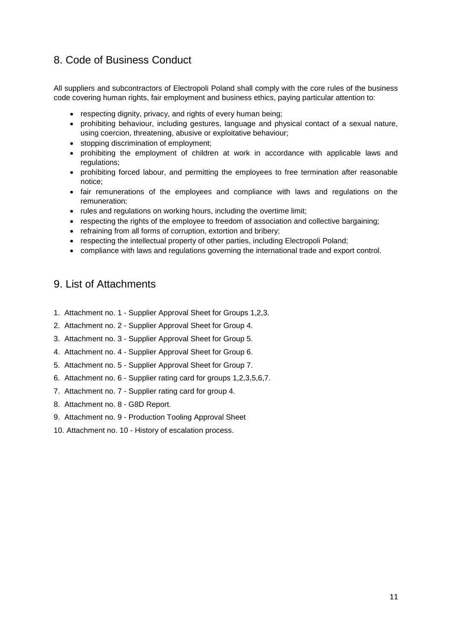# <span id="page-10-0"></span>8. Code of Business Conduct

All suppliers and subcontractors of Electropoli Poland shall comply with the core rules of the business code covering human rights, fair employment and business ethics, paying particular attention to:

- respecting dignity, privacy, and rights of every human being;
- prohibiting behaviour, including gestures, language and physical contact of a sexual nature, using coercion, threatening, abusive or exploitative behaviour;
- stopping discrimination of employment;
- prohibiting the employment of children at work in accordance with applicable laws and regulations;
- prohibiting forced labour, and permitting the employees to free termination after reasonable notice;
- fair remunerations of the employees and compliance with laws and regulations on the remuneration;
- rules and regulations on working hours, including the overtime limit;
- respecting the rights of the employee to freedom of association and collective bargaining;
- refraining from all forms of corruption, extortion and bribery;
- respecting the intellectual property of other parties, including Electropoli Poland;
- compliance with laws and regulations governing the international trade and export control.

## <span id="page-10-1"></span>9. List of Attachments

- 1. Attachment no. 1 Supplier Approval Sheet for Groups 1,2,3.
- 2. Attachment no. 2 Supplier Approval Sheet for Group 4.
- 3. Attachment no. 3 Supplier Approval Sheet for Group 5.
- 4. Attachment no. 4 Supplier Approval Sheet for Group 6.
- 5. Attachment no. 5 Supplier Approval Sheet for Group 7.
- 6. Attachment no. 6 Supplier rating card for groups 1,2,3,5,6,7.
- 7. Attachment no. 7 Supplier rating card for group 4.
- 8. Attachment no. 8 G8D Report.
- 9. Attachment no. 9 Production Tooling Approval Sheet
- 10. Attachment no. 10 History of escalation process.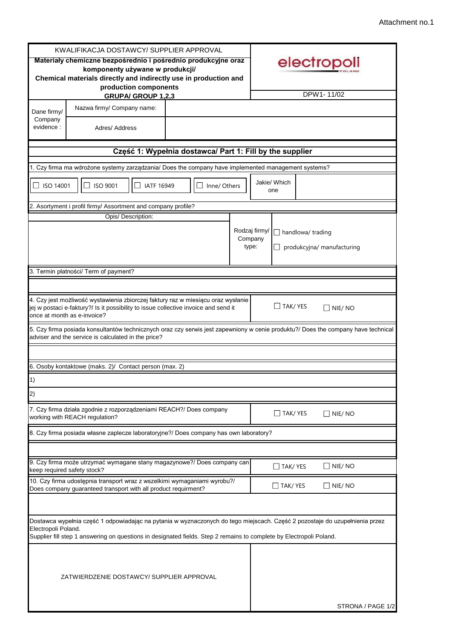ł.

|                        | KWALIFIKACJA DOSTAWCY/ SUPPLIER APPROVAL                                                                                                                                                                                                           |                                                          |                                   |                          |                            |
|------------------------|----------------------------------------------------------------------------------------------------------------------------------------------------------------------------------------------------------------------------------------------------|----------------------------------------------------------|-----------------------------------|--------------------------|----------------------------|
|                        | Materiały chemiczne bezpośrednio i pośrednio produkcyjne oraz<br>komponenty używane w produkcji/<br>Chemical materials directly and indirectly use in production and<br>production components                                                      |                                                          |                                   |                          | electropoli                |
|                        | <b>GRUPA/ GROUP 1,2,3</b>                                                                                                                                                                                                                          |                                                          |                                   |                          | DPW1-11/02                 |
| Dane firmy/<br>Company | Nazwa firmy/ Company name:                                                                                                                                                                                                                         |                                                          |                                   |                          |                            |
| evidence:              | Adres/ Address                                                                                                                                                                                                                                     |                                                          |                                   |                          |                            |
|                        |                                                                                                                                                                                                                                                    | Część 1: Wypełnia dostawca/ Part 1: Fill by the supplier |                                   |                          |                            |
|                        | Czy firma ma wdrożone systemy zarządzania/ Does the company have implemented management systems?                                                                                                                                                   |                                                          |                                   |                          |                            |
| ISO 14001              | <b>ISO 9001</b><br><b>IATF 16949</b>                                                                                                                                                                                                               | Inne/ Others                                             |                                   | Jakie/ Which<br>one      |                            |
|                        | . Asortyment i profil firmy/ Assortment and company profile?                                                                                                                                                                                       |                                                          |                                   |                          |                            |
|                        | Opis/ Description:                                                                                                                                                                                                                                 |                                                          |                                   |                          |                            |
|                        |                                                                                                                                                                                                                                                    |                                                          | Rodzaj firmy/<br>Company<br>type: | $\Box$ handlowa/ trading | produkcyjna/ manufacturing |
|                        | 3. Termin płatności/ Term of payment?                                                                                                                                                                                                              |                                                          |                                   |                          |                            |
|                        |                                                                                                                                                                                                                                                    |                                                          |                                   |                          |                            |
|                        | 4. Czy jest możliwość wystawienia zbiorczej faktury raz w miesiącu oraz wysłanie<br>jej w postaci e-faktury?/ Is it possibility to issue collective invoice and send it<br>once at month as e-invoice?                                             |                                                          |                                   | $\Box$ Tak/ Yes          | $\square$ Nie/ No          |
|                        | 5. Czy firma posiada konsultantów technicznych oraz czy serwis jest zapewniony w cenie produktu?/ Does the company have technical<br>adviser and the service is calculated in the price?                                                           |                                                          |                                   |                          |                            |
|                        | 6. Osoby kontaktowe (maks. 2)/ Contact person (max. 2)                                                                                                                                                                                             |                                                          |                                   |                          |                            |
| $\vert$ 1)             |                                                                                                                                                                                                                                                    |                                                          |                                   |                          |                            |
|                        |                                                                                                                                                                                                                                                    |                                                          |                                   |                          |                            |
| 2)                     |                                                                                                                                                                                                                                                    |                                                          |                                   |                          |                            |
|                        | 7. Czy firma działa zgodnie z rozporządzeniami REACH?/ Does company<br>working with REACH regulation?                                                                                                                                              |                                                          |                                   | $\Box$ TAK/ YES          | $\square$ Nie/ No          |
|                        | 8. Czy firma posiada własne zaplecze laboratoryjne?/ Does company has own laboratory?                                                                                                                                                              |                                                          |                                   |                          |                            |
|                        |                                                                                                                                                                                                                                                    |                                                          |                                   |                          |                            |
|                        | 9. Czy firma może utrzymać wymagane stany magazynowe?/ Does company can<br>keep required safety stock?                                                                                                                                             |                                                          |                                   | $\Box$ TAK/YES           | $\Box$ NIE/ NO             |
|                        | 10. Czy firma udostępnia transport wraz z wszelkimi wymaganiami wyrobu?/<br>Does company guaranteed transport with all product requirment?                                                                                                         |                                                          |                                   | $\Box$ TAK/ YES          | $\Box$ Nie/ No             |
|                        |                                                                                                                                                                                                                                                    |                                                          |                                   |                          |                            |
| Electropoli Poland.    | Dostawca wypełnia część 1 odpowiadając na pytania w wyznaczonych do tego miejscach. Część 2 pozostaje do uzupełnienia przez<br>Supplier fill step 1 answering on questions in designated fields. Step 2 remains to complete by Electropoli Poland. |                                                          |                                   |                          |                            |
|                        | ZATWIERDZENIE DOSTAWCY/ SUPPLIER APPROVAL                                                                                                                                                                                                          |                                                          |                                   |                          |                            |
|                        |                                                                                                                                                                                                                                                    |                                                          |                                   |                          | STRONA / PAGE 1/2          |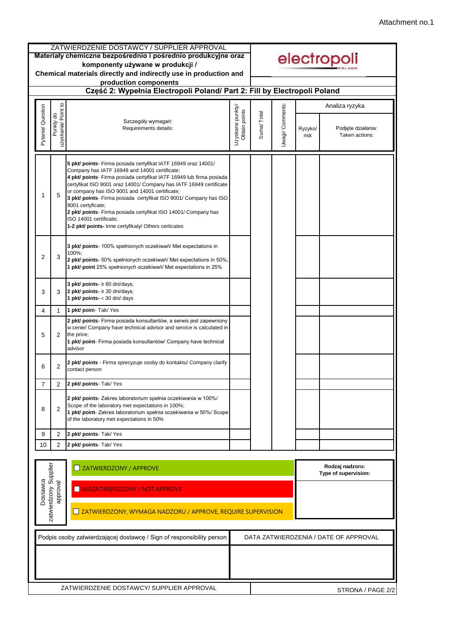|                                                                                                                                               |                                     | ZATWIERDZENIE DOSTAWCY / SUPPLIER APPROVAL<br>Materiały chemiczne bezpośrednio i pośrednio produkcyjne oraz<br>komponenty używane w produkcji /<br>Chemical materials directly and indirectly use in production and                                                                                                                                                                                                                                                                                                                                           |                                   |            |                         |                 | electropoli                             |
|-----------------------------------------------------------------------------------------------------------------------------------------------|-------------------------------------|---------------------------------------------------------------------------------------------------------------------------------------------------------------------------------------------------------------------------------------------------------------------------------------------------------------------------------------------------------------------------------------------------------------------------------------------------------------------------------------------------------------------------------------------------------------|-----------------------------------|------------|-------------------------|-----------------|-----------------------------------------|
|                                                                                                                                               |                                     | production components<br>Część 2: Wypełnia Electropoli Poland/ Part 2: Fill by Electropoli Poland                                                                                                                                                                                                                                                                                                                                                                                                                                                             |                                   |            |                         |                 |                                         |
|                                                                                                                                               |                                     |                                                                                                                                                                                                                                                                                                                                                                                                                                                                                                                                                               |                                   |            |                         |                 | Analiza ryzyka                          |
| Pytanie/ Question                                                                                                                             | Point to<br>Punkty do<br>uzyskania/ | Szczegóły wymagań:<br>Requirements details:                                                                                                                                                                                                                                                                                                                                                                                                                                                                                                                   | Uzyskane punkty/<br>Obtain points | Suma/Total | <b>Jwagi/ Comments:</b> | Ryzyko/<br>risk | Podjęte działania:<br>Taken actions:    |
| 1                                                                                                                                             | 5                                   | 5 pkt/ points- Firma posiada certyfikat IATF 16949 oraz 14001/<br>Company has IATF 16949 and 14001 certificate;<br>4 pkt/ points- Firma posiada certyfikat IATF 16949 lub firma posiada<br>certyfikat ISO 9001 oraz 14001/ Company has IATF 16949 certificate<br>or company has ISO 9001 and 14001 certificate;<br>3 pkt/ points- Firma posiada certyfikat ISO 9001/ Company has ISO<br>9001 certyficate;<br>2 pkt/ points- Firma posiada certyfikat ISO 14001/ Company has<br>ISO 14001 certificate;<br>1-2 pkt/ points- Inne certyfikaty/ Others certicates |                                   |            |                         |                 |                                         |
| 2                                                                                                                                             | 3                                   | 3 pkt/ points- 100% spełnionych oczekiwań/ Met expectations in<br>100%;<br>2 pkt/ points- 50% spełnionych oczekiwań/ Met expectations in 50%;<br>1 pkt/ point 25% spełnionych oczekiwań/ Met expectations in 25%                                                                                                                                                                                                                                                                                                                                              |                                   |            |                         |                 |                                         |
| 3                                                                                                                                             | 3                                   | 3 pkt/ points- $\geq 60$ dni/days;<br>2 pkt/ points- $\geq$ 30 dni/days;<br>1 $pkt/$ points- < 30 dni/ days                                                                                                                                                                                                                                                                                                                                                                                                                                                   |                                   |            |                         |                 |                                         |
| 4                                                                                                                                             | $\mathbf{1}$                        | 1 pkt/ point- Tak/ Yes                                                                                                                                                                                                                                                                                                                                                                                                                                                                                                                                        |                                   |            |                         |                 |                                         |
| 5                                                                                                                                             | 2                                   | 2 pkt/ points- Firma posiada konsultantów, a serwis jest zapewniony<br>w cenie/ Company have technical advisor and service is calculated in<br>the price;<br>1 pkt/ point- Firma posiada konsultantów/ Company have technical<br>advisor                                                                                                                                                                                                                                                                                                                      |                                   |            |                         |                 |                                         |
| 6                                                                                                                                             | 2                                   | 2 pkt/ points - Firma sprecyzuje osoby do kontaktu/ Company clarify<br>contact person                                                                                                                                                                                                                                                                                                                                                                                                                                                                         |                                   |            |                         |                 |                                         |
| 7                                                                                                                                             | 2                                   | 2 pkt/ points- Tak/ Yes                                                                                                                                                                                                                                                                                                                                                                                                                                                                                                                                       |                                   |            |                         |                 |                                         |
| 8                                                                                                                                             | 2                                   | 2 pkt/ points- Zakres laboratorium spełnia oczekiwania w 100%/<br>Scope of the laboratory met expectations in 100%;<br>1 pkt/ point- Zakres laboratorium spełnia oczekiwania w 50%/ Scope<br>of the laboratory met expectations in 50%                                                                                                                                                                                                                                                                                                                        |                                   |            |                         |                 |                                         |
| 9                                                                                                                                             | 2                                   | 2 pkt/ points- Tak/ Yes                                                                                                                                                                                                                                                                                                                                                                                                                                                                                                                                       |                                   |            |                         |                 |                                         |
| 10                                                                                                                                            | $\overline{2}$                      | 2 pkt/ points- Tak/ Yes                                                                                                                                                                                                                                                                                                                                                                                                                                                                                                                                       |                                   |            |                         |                 |                                         |
|                                                                                                                                               |                                     | ZATWIERDZONY / APPROVE                                                                                                                                                                                                                                                                                                                                                                                                                                                                                                                                        |                                   |            |                         |                 | Rodzaj nadzoru:<br>Type of supervision: |
| zatwierdzony Supplier<br>Dostawca<br>approval<br>NIEZATWIERDZONY / NOT APPROVE<br>ZATWIERDZONY, WYMAGA NADZORU / APPROVE, REQUIRE SUPERVISION |                                     |                                                                                                                                                                                                                                                                                                                                                                                                                                                                                                                                                               |                                   |            |                         |                 |                                         |
|                                                                                                                                               |                                     |                                                                                                                                                                                                                                                                                                                                                                                                                                                                                                                                                               |                                   |            |                         |                 |                                         |
|                                                                                                                                               |                                     | Podpis osoby zatwierdzającej dostawcę / Sign of responsibility person                                                                                                                                                                                                                                                                                                                                                                                                                                                                                         |                                   |            |                         |                 | DATA ZATWIERDZENIA / DATE OF APPROVAL   |
|                                                                                                                                               |                                     |                                                                                                                                                                                                                                                                                                                                                                                                                                                                                                                                                               |                                   |            |                         |                 |                                         |
|                                                                                                                                               |                                     | ZATWIERDZENIE DOSTAWCY/ SUPPLIER APPROVAL                                                                                                                                                                                                                                                                                                                                                                                                                                                                                                                     |                                   |            |                         |                 | STRONA / PAGE 2/2                       |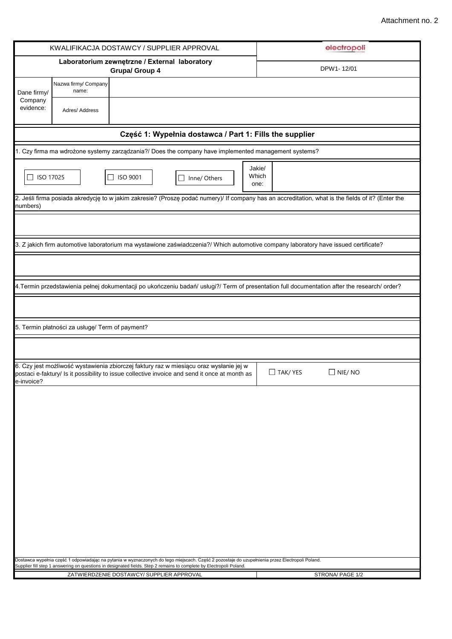|                      |                                                 | KWALIFIKACJA DOSTAWCY / SUPPLIER APPROVAL                                                                                                                                                                                                                              | electropoli                                                                                                                                        |
|----------------------|-------------------------------------------------|------------------------------------------------------------------------------------------------------------------------------------------------------------------------------------------------------------------------------------------------------------------------|----------------------------------------------------------------------------------------------------------------------------------------------------|
|                      |                                                 | Laboratorium zewnętrzne / External laboratory<br>Grupa/ Group 4                                                                                                                                                                                                        | DPW1-12/01                                                                                                                                         |
| Dane firmy/          | Nazwa firmy/ Company<br>name:                   |                                                                                                                                                                                                                                                                        |                                                                                                                                                    |
| Company<br>evidence: | Adres/ Address                                  |                                                                                                                                                                                                                                                                        |                                                                                                                                                    |
|                      |                                                 | Część 1: Wypełnia dostawca / Part 1: Fills the supplier                                                                                                                                                                                                                |                                                                                                                                                    |
|                      |                                                 | 1. Czy firma ma wdrożone systemy zarządzania?/ Does the company have implemented management systems?                                                                                                                                                                   |                                                                                                                                                    |
| ISO 17025<br>$\Box$  |                                                 | ISO 9001<br>П<br>Inne/ Others                                                                                                                                                                                                                                          | Jakie/<br>Which<br>one:                                                                                                                            |
| numbers)             |                                                 |                                                                                                                                                                                                                                                                        | 2. Jeśli firma posiada akredycję to w jakim zakresie? (Proszę podać numery)/ If company has an accreditation, what is the fields of it? (Enter the |
|                      |                                                 |                                                                                                                                                                                                                                                                        |                                                                                                                                                    |
|                      |                                                 | 3. Z jakich firm automotive laboratorium ma wystawione zaświadczenia?/ Which automotive company laboratory have issued certificate?                                                                                                                                    |                                                                                                                                                    |
|                      |                                                 |                                                                                                                                                                                                                                                                        |                                                                                                                                                    |
|                      |                                                 |                                                                                                                                                                                                                                                                        | 4. Termin przedstawienia pełnej dokumentacji po ukończeniu badań/ usługi?/ Term of presentation full documentation after the research/ order?      |
|                      |                                                 |                                                                                                                                                                                                                                                                        |                                                                                                                                                    |
|                      | 5. Termin płatności za usługę/ Term of payment? |                                                                                                                                                                                                                                                                        |                                                                                                                                                    |
|                      |                                                 |                                                                                                                                                                                                                                                                        |                                                                                                                                                    |
| e-invoice?           |                                                 | 6. Czy jest możliwość wystawienia zbiorczej faktury raz w miesiącu oraz wysłanie jej w<br>postaci e-faktury/ Is it possibility to issue collective invoice and send it once at month as                                                                                | $\Box$ TAK/YES<br>$\Box$ Nie/ No                                                                                                                   |
|                      |                                                 |                                                                                                                                                                                                                                                                        |                                                                                                                                                    |
|                      |                                                 |                                                                                                                                                                                                                                                                        |                                                                                                                                                    |
|                      |                                                 |                                                                                                                                                                                                                                                                        |                                                                                                                                                    |
|                      |                                                 |                                                                                                                                                                                                                                                                        |                                                                                                                                                    |
|                      |                                                 |                                                                                                                                                                                                                                                                        |                                                                                                                                                    |
|                      |                                                 |                                                                                                                                                                                                                                                                        |                                                                                                                                                    |
|                      |                                                 |                                                                                                                                                                                                                                                                        |                                                                                                                                                    |
|                      |                                                 |                                                                                                                                                                                                                                                                        |                                                                                                                                                    |
|                      |                                                 |                                                                                                                                                                                                                                                                        |                                                                                                                                                    |
|                      |                                                 | Dostawca wypełnia część 1 odpowiadając na pytania w wyznaczonych do tego miejscach. Część 2 pozostaje do uzupełnienia przez Electropoli Poland.<br>Supplier fill step 1 answering on questions in designated fields. Step 2 remains to complete by Electropoli Poland. |                                                                                                                                                    |
|                      |                                                 | ZATWIERDZENIE DOSTAWCY/ SUPPLIER APPROVAL                                                                                                                                                                                                                              | STRONA/ PAGE 1/2                                                                                                                                   |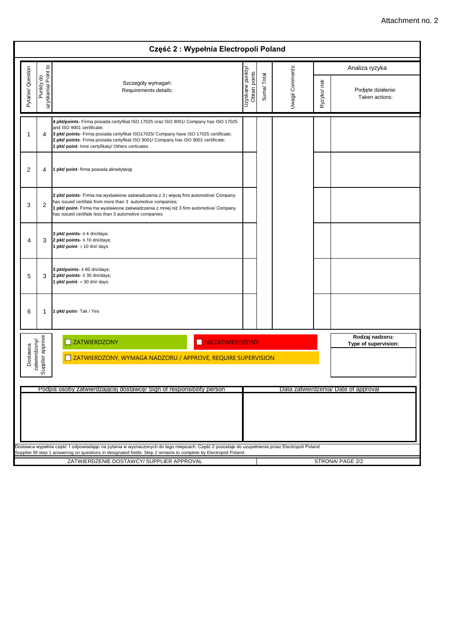|                                                                                                                   |                                                                                                                                                                                                                                                                                                               | Część 2: Wypełnia Electropoli Poland                                                                                                                                                                                                                                                                                                                    |                                  |            |                  |              |                                         |
|-------------------------------------------------------------------------------------------------------------------|---------------------------------------------------------------------------------------------------------------------------------------------------------------------------------------------------------------------------------------------------------------------------------------------------------------|---------------------------------------------------------------------------------------------------------------------------------------------------------------------------------------------------------------------------------------------------------------------------------------------------------------------------------------------------------|----------------------------------|------------|------------------|--------------|-----------------------------------------|
|                                                                                                                   |                                                                                                                                                                                                                                                                                                               |                                                                                                                                                                                                                                                                                                                                                         |                                  |            |                  |              | Analiza ryzyka                          |
| Pytanie/ Question                                                                                                 | Punkty do<br>uzyskania/ Point to                                                                                                                                                                                                                                                                              | Szczegóły wymagań:<br>Requirements details:                                                                                                                                                                                                                                                                                                             | Uzyskane punkty<br>Obtain points | Suma/Total | Uwagi/ Comments: | Ryzyko/ risk | Podjęte działania:<br>Taken actions:    |
| 1                                                                                                                 | 4                                                                                                                                                                                                                                                                                                             | 4 pkt/points- Firma posiada certyfikat ISO 17025 oraz ISO 9001/ Company has ISO 17025<br>and ISO 9001 certificate;<br>3 pkt/ points- Firma posiada certyfikat ISO17025/ Company have ISO 17025 certificate;<br>2 pkt/ points- Firma posiada certyfikat ISO 9001/ Company has ISO 9001 certificate;<br>1 pkt/ point- Inne certyfikaty/ Others certicates |                                  |            |                  |              |                                         |
| 2                                                                                                                 | 4                                                                                                                                                                                                                                                                                                             | 1 pkt/ point- firma posiada akredytację                                                                                                                                                                                                                                                                                                                 |                                  |            |                  |              |                                         |
| 3                                                                                                                 | 2 pkt/ points- Firma ma wystawione zaświadczenia z 3 i więcej firm automotive/ Company<br>has issued certifate from more than 3 automotive companies;<br>2<br>1 pkt/ point- Firma ma wystawione zaświadczenia z mniej niż 3 firm automotive/ Company<br>has issued certifate less than 3 automotive companies |                                                                                                                                                                                                                                                                                                                                                         |                                  |            |                  |              |                                         |
| 3 pkt/ points- $\leq$ 4 dni/days;<br>2 pkt/ points- $\leq 10$ dni/days;<br>4<br>3<br>1 pkt/ point- > 10 dni/ days |                                                                                                                                                                                                                                                                                                               |                                                                                                                                                                                                                                                                                                                                                         |                                  |            |                  |              |                                         |
| 5                                                                                                                 | 3                                                                                                                                                                                                                                                                                                             | 3 pkt/points- $\geq 60$ dni/days;<br>2 pkt/ points- $\geq 30$ dni/days;<br>1 pkt/ point- < 30 dni/ days                                                                                                                                                                                                                                                 |                                  |            |                  |              |                                         |
| 6                                                                                                                 | -1                                                                                                                                                                                                                                                                                                            | 1 pkt/ point- Tak / Yes                                                                                                                                                                                                                                                                                                                                 |                                  |            |                  |              |                                         |
|                                                                                                                   |                                                                                                                                                                                                                                                                                                               | ZATWIERDZONY<br>NIEZATWIERDZONY                                                                                                                                                                                                                                                                                                                         |                                  |            |                  |              | Rodzaj nadzoru:<br>Type of supervision: |
| Dostawca                                                                                                          | Supplier approve<br>zatwierdzony/                                                                                                                                                                                                                                                                             | ZATWIERDZONY, WYMAGA NADZORU / APPROVE, REQUIRE SUPERVISION                                                                                                                                                                                                                                                                                             |                                  |            |                  |              |                                         |
|                                                                                                                   | Podpis osoby zatwierdzającej dostawcę/ Sign of responsibility person<br>Data zatwierdzenia/ Date of approval                                                                                                                                                                                                  |                                                                                                                                                                                                                                                                                                                                                         |                                  |            |                  |              |                                         |
|                                                                                                                   |                                                                                                                                                                                                                                                                                                               |                                                                                                                                                                                                                                                                                                                                                         |                                  |            |                  |              |                                         |
|                                                                                                                   |                                                                                                                                                                                                                                                                                                               | Dostawca wypełnia część 1 odpowiadając na pytania w wyznaczonych do tego miejscach. Część 2 pozostaje do uzupełnienia przez Electropoli Poland.<br>Supplier fill step 1 answering on questions in designated fields. Step 2 remains to complete by Electropoli Poland.                                                                                  |                                  |            |                  |              |                                         |
|                                                                                                                   |                                                                                                                                                                                                                                                                                                               | ZATWIERDZENIE DOSTAWCY/ SUPPLIER APPROVAL                                                                                                                                                                                                                                                                                                               |                                  |            |                  |              | STRONA/ PAGE 2/2                        |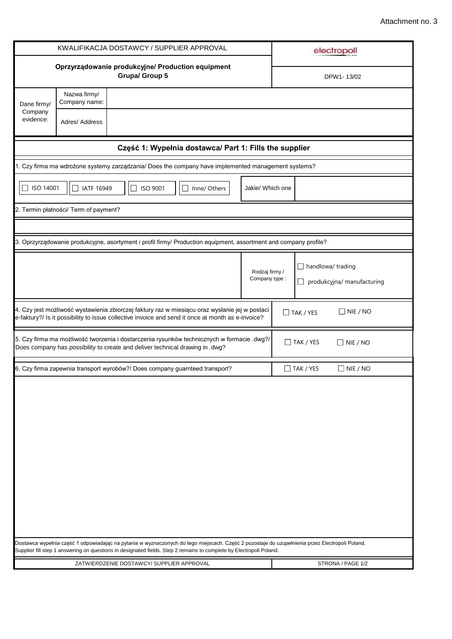|                      |                                       | KWALIFIKACJA DOSTAWCY / SUPPLIER APPROVAL                                                                                                                                                           |              |                                  | electropoli                                                                                                                                     |
|----------------------|---------------------------------------|-----------------------------------------------------------------------------------------------------------------------------------------------------------------------------------------------------|--------------|----------------------------------|-------------------------------------------------------------------------------------------------------------------------------------------------|
|                      |                                       | Oprzyrządowanie produkcyjne/ Production equipment<br>Grupa/ Group 5                                                                                                                                 |              |                                  | DPW1-13/02                                                                                                                                      |
| Dane firmy/          | Nazwa firmy/<br>Company name:         |                                                                                                                                                                                                     |              |                                  |                                                                                                                                                 |
| Company<br>evidence: | Adres/ Address                        |                                                                                                                                                                                                     |              |                                  |                                                                                                                                                 |
|                      |                                       | Część 1: Wypełnia dostawca/ Part 1: Fills the supplier                                                                                                                                              |              |                                  |                                                                                                                                                 |
|                      |                                       | 1. Czy firma ma wdrożone systemy zarządzania/ Does the company have implemented management systems?                                                                                                 |              |                                  |                                                                                                                                                 |
| ISO 14001            | IATF 16949                            | <b>ISO 9001</b>                                                                                                                                                                                     | Inne/ Others | Jakie/ Which one                 |                                                                                                                                                 |
|                      | 2. Termin płatności/ Term of payment? |                                                                                                                                                                                                     |              |                                  |                                                                                                                                                 |
|                      |                                       |                                                                                                                                                                                                     |              |                                  |                                                                                                                                                 |
|                      |                                       | 3. Oprzyrządowanie produkcyjne, asortyment i profil firmy/ Production equipment, assortment and company profile?                                                                                    |              |                                  |                                                                                                                                                 |
|                      |                                       |                                                                                                                                                                                                     |              | Rodzaj firmy /<br>Company type : | $\Box$ handlowa/ trading<br>$\Box$ produkcyjna/ manufacturing                                                                                   |
|                      |                                       | 4. Czy jest możliwość wystawienia zbiorczej faktury raz w miesiącu oraz wysłanie jej w postaci<br>e-faktury?/ Is it possibility to issue collective invoice and send it once at month as e-invoice? |              |                                  | $\Box$ NIE / NO<br>$\Box$ TAK / YES                                                                                                             |
|                      |                                       | 5. Czy firma ma możliwość tworzenia i dostarczenia rysunków technicznych w formacie .dwg?/<br>Does company has possibility to create and deliver technical drawing in .dwg?                         |              |                                  | $\Box$ TAK / YES<br>$\Box$ NIE / NO                                                                                                             |
|                      |                                       | 6. Czy firma zapewnia transport wyrobów?/ Does company guarnteed transport?                                                                                                                         |              |                                  | $\Box$ TAK / YES<br>$\Box$ NIE / NO                                                                                                             |
|                      |                                       |                                                                                                                                                                                                     |              |                                  |                                                                                                                                                 |
|                      |                                       | Supplier fill step 1 answering on questions in designated fields. Step 2 remains to complete by Electropoli Poland.                                                                                 |              |                                  | Dostawca wypełnia część 1 odpowiadając na pytania w wyznaczonych do tego miejscach. Część 2 pozostaje do uzupełnienia przez Electropoli Poland. |
|                      |                                       | ZATWIERDZENIE DOSTAWCY/ SUPPLIER APPROVAL                                                                                                                                                           |              |                                  | STRONA / PAGE 1/2                                                                                                                               |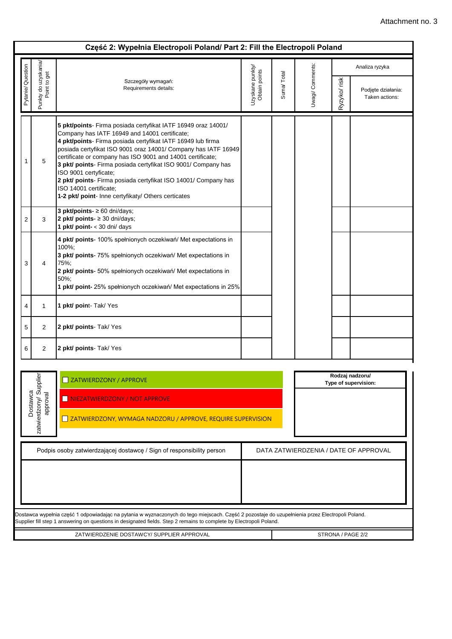|                                                                                                                |                                                | Część 2: Wypełnia Electropoli Poland/ Part 2: Fill the Electropoli Poland                                                                                                                                                                                                                                                                                                                                                                                                                                                                                  |                                   |            |                 |              |                                         |  |  |
|----------------------------------------------------------------------------------------------------------------|------------------------------------------------|------------------------------------------------------------------------------------------------------------------------------------------------------------------------------------------------------------------------------------------------------------------------------------------------------------------------------------------------------------------------------------------------------------------------------------------------------------------------------------------------------------------------------------------------------------|-----------------------------------|------------|-----------------|--------------|-----------------------------------------|--|--|
|                                                                                                                |                                                |                                                                                                                                                                                                                                                                                                                                                                                                                                                                                                                                                            |                                   |            |                 |              | Analiza ryzyka                          |  |  |
| Pytanie/ Question                                                                                              | Punkty do uzyskania/<br>Point to get           | Szczegóły wymagań:<br>Requirements details:                                                                                                                                                                                                                                                                                                                                                                                                                                                                                                                | Uzyskane punkty/<br>Obtain points | Suma/Total | Uwagi/ Comments | Ryzyko/ risk | Podjęte działania:<br>Taken actions:    |  |  |
|                                                                                                                | 5                                              | 5 pkt/points- Firma posiada certyfikat IATF 16949 oraz 14001/<br>Company has IATF 16949 and 14001 certificate;<br>4 pkt/points- Firma posiada certyfikat IATF 16949 lub firma<br>posiada certyfikat ISO 9001 oraz 14001/ Company has IATF 16949<br>certificate or company has ISO 9001 and 14001 certificate;<br>3 pkt/ points- Firma posiada certyfikat ISO 9001/ Company has<br>ISO 9001 certyficate;<br>2 pkt/ points- Firma posiada certyfikat ISO 14001/ Company has<br>ISO 14001 certificate;<br>1-2 pkt/ point- Inne certyfikaty/ Others certicates |                                   |            |                 |              |                                         |  |  |
| 2                                                                                                              | 3                                              | 3 pkt/points- $\geq 60$ dni/days;<br>2 pkt/ points- $\geq$ 30 dni/days;<br>1 pkt/ point- < 30 dni/ days                                                                                                                                                                                                                                                                                                                                                                                                                                                    |                                   |            |                 |              |                                         |  |  |
| 3                                                                                                              | 4                                              | 4 pkt/ points- 100% spełnionych oczekiwań/ Met expectations in<br>100%:<br>3 pkt/ points- 75% spełnionych oczekiwań/ Met expectations in<br>75%;<br>2 pkt/ points- 50% spełnionych oczekiwań/ Met expectations in<br>50%;<br>1 pkt/ point- 25% spełnionych oczekiwań/ Met expectations in 25%                                                                                                                                                                                                                                                              |                                   |            |                 |              |                                         |  |  |
| 4                                                                                                              | 1                                              | 1 pkt/ point- Tak/ Yes                                                                                                                                                                                                                                                                                                                                                                                                                                                                                                                                     |                                   |            |                 |              |                                         |  |  |
| 5                                                                                                              | 2                                              | 2 pkt/ points- Tak/ Yes                                                                                                                                                                                                                                                                                                                                                                                                                                                                                                                                    |                                   |            |                 |              |                                         |  |  |
| 6                                                                                                              | $\overline{2}$                                 | 2 pkt/ points-Tak/ Yes                                                                                                                                                                                                                                                                                                                                                                                                                                                                                                                                     |                                   |            |                 |              |                                         |  |  |
|                                                                                                                | zatwierdzony/ Supplier<br>Dostawca<br>approval | <b>NEXT ZATWIERDZONY / APPROVE</b><br>NIEZATWIERDZONY / NOT APPROVE<br>ZATWIERDZONY, WYMAGA NADZORU / APPROVE, REQUIRE SUPERVISION                                                                                                                                                                                                                                                                                                                                                                                                                         |                                   |            |                 |              | Rodzaj nadzoru/<br>Type of supervision: |  |  |
| Podpis osoby zatwierdzającej dostawcę / Sign of responsibility person<br>DATA ZATWIERDZENIA / DATE OF APPROVAL |                                                |                                                                                                                                                                                                                                                                                                                                                                                                                                                                                                                                                            |                                   |            |                 |              |                                         |  |  |
|                                                                                                                |                                                |                                                                                                                                                                                                                                                                                                                                                                                                                                                                                                                                                            |                                   |            |                 |              |                                         |  |  |
|                                                                                                                |                                                | Dostawca wypełnia część 1 odpowiadając na pytania w wyznaczonych do tego miejscach. Część 2 pozostaje do uzupełnienia przez Electropoli Poland.<br>Supplier fill step 1 answering on questions in designated fields. Step 2 remains to complete by Electropoli Poland.                                                                                                                                                                                                                                                                                     |                                   |            |                 |              |                                         |  |  |
|                                                                                                                |                                                | ZATWIERDZENIE DOSTAWCY/ SUPPLIER APPROVAL                                                                                                                                                                                                                                                                                                                                                                                                                                                                                                                  |                                   |            |                 |              | STRONA / PAGE 2/2                       |  |  |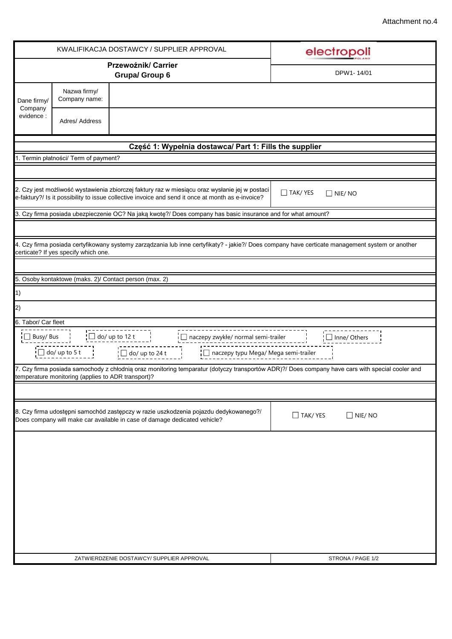|                                                                                                                                                                                                                                                                                                                                                                                                                                                                                                                                                                                                                                                                                                                                                                                                                                                                                                                                                                                                                                                                                                                                                                                                                                                                                                                                                                                                                                                                                                                                           |                               | KWALIFIKACJA DOSTAWCY / SUPPLIER APPROVAL    | electropoli                     |
|-------------------------------------------------------------------------------------------------------------------------------------------------------------------------------------------------------------------------------------------------------------------------------------------------------------------------------------------------------------------------------------------------------------------------------------------------------------------------------------------------------------------------------------------------------------------------------------------------------------------------------------------------------------------------------------------------------------------------------------------------------------------------------------------------------------------------------------------------------------------------------------------------------------------------------------------------------------------------------------------------------------------------------------------------------------------------------------------------------------------------------------------------------------------------------------------------------------------------------------------------------------------------------------------------------------------------------------------------------------------------------------------------------------------------------------------------------------------------------------------------------------------------------------------|-------------------------------|----------------------------------------------|---------------------------------|
|                                                                                                                                                                                                                                                                                                                                                                                                                                                                                                                                                                                                                                                                                                                                                                                                                                                                                                                                                                                                                                                                                                                                                                                                                                                                                                                                                                                                                                                                                                                                           |                               | Przewoźnik/ Carrier<br><b>Grupa/ Group 6</b> | DPW1-14/01                      |
| Dane firmy/                                                                                                                                                                                                                                                                                                                                                                                                                                                                                                                                                                                                                                                                                                                                                                                                                                                                                                                                                                                                                                                                                                                                                                                                                                                                                                                                                                                                                                                                                                                               | Nazwa firmy/<br>Company name: |                                              |                                 |
| evidence :                                                                                                                                                                                                                                                                                                                                                                                                                                                                                                                                                                                                                                                                                                                                                                                                                                                                                                                                                                                                                                                                                                                                                                                                                                                                                                                                                                                                                                                                                                                                | Adres/ Address                |                                              |                                 |
|                                                                                                                                                                                                                                                                                                                                                                                                                                                                                                                                                                                                                                                                                                                                                                                                                                                                                                                                                                                                                                                                                                                                                                                                                                                                                                                                                                                                                                                                                                                                           |                               |                                              |                                 |
|                                                                                                                                                                                                                                                                                                                                                                                                                                                                                                                                                                                                                                                                                                                                                                                                                                                                                                                                                                                                                                                                                                                                                                                                                                                                                                                                                                                                                                                                                                                                           |                               |                                              |                                 |
|                                                                                                                                                                                                                                                                                                                                                                                                                                                                                                                                                                                                                                                                                                                                                                                                                                                                                                                                                                                                                                                                                                                                                                                                                                                                                                                                                                                                                                                                                                                                           |                               |                                              |                                 |
|                                                                                                                                                                                                                                                                                                                                                                                                                                                                                                                                                                                                                                                                                                                                                                                                                                                                                                                                                                                                                                                                                                                                                                                                                                                                                                                                                                                                                                                                                                                                           |                               |                                              | $\Box$ TAK/YES<br>$\Box$ NIE/NO |
|                                                                                                                                                                                                                                                                                                                                                                                                                                                                                                                                                                                                                                                                                                                                                                                                                                                                                                                                                                                                                                                                                                                                                                                                                                                                                                                                                                                                                                                                                                                                           |                               |                                              |                                 |
|                                                                                                                                                                                                                                                                                                                                                                                                                                                                                                                                                                                                                                                                                                                                                                                                                                                                                                                                                                                                                                                                                                                                                                                                                                                                                                                                                                                                                                                                                                                                           |                               |                                              |                                 |
|                                                                                                                                                                                                                                                                                                                                                                                                                                                                                                                                                                                                                                                                                                                                                                                                                                                                                                                                                                                                                                                                                                                                                                                                                                                                                                                                                                                                                                                                                                                                           |                               |                                              |                                 |
|                                                                                                                                                                                                                                                                                                                                                                                                                                                                                                                                                                                                                                                                                                                                                                                                                                                                                                                                                                                                                                                                                                                                                                                                                                                                                                                                                                                                                                                                                                                                           |                               |                                              |                                 |
|                                                                                                                                                                                                                                                                                                                                                                                                                                                                                                                                                                                                                                                                                                                                                                                                                                                                                                                                                                                                                                                                                                                                                                                                                                                                                                                                                                                                                                                                                                                                           |                               |                                              |                                 |
|                                                                                                                                                                                                                                                                                                                                                                                                                                                                                                                                                                                                                                                                                                                                                                                                                                                                                                                                                                                                                                                                                                                                                                                                                                                                                                                                                                                                                                                                                                                                           |                               |                                              |                                 |
|                                                                                                                                                                                                                                                                                                                                                                                                                                                                                                                                                                                                                                                                                                                                                                                                                                                                                                                                                                                                                                                                                                                                                                                                                                                                                                                                                                                                                                                                                                                                           |                               |                                              |                                 |
|                                                                                                                                                                                                                                                                                                                                                                                                                                                                                                                                                                                                                                                                                                                                                                                                                                                                                                                                                                                                                                                                                                                                                                                                                                                                                                                                                                                                                                                                                                                                           |                               |                                              | $\Box$ Inne/ Others             |
|                                                                                                                                                                                                                                                                                                                                                                                                                                                                                                                                                                                                                                                                                                                                                                                                                                                                                                                                                                                                                                                                                                                                                                                                                                                                                                                                                                                                                                                                                                                                           |                               |                                              |                                 |
|                                                                                                                                                                                                                                                                                                                                                                                                                                                                                                                                                                                                                                                                                                                                                                                                                                                                                                                                                                                                                                                                                                                                                                                                                                                                                                                                                                                                                                                                                                                                           |                               |                                              |                                 |
|                                                                                                                                                                                                                                                                                                                                                                                                                                                                                                                                                                                                                                                                                                                                                                                                                                                                                                                                                                                                                                                                                                                                                                                                                                                                                                                                                                                                                                                                                                                                           |                               |                                              |                                 |
|                                                                                                                                                                                                                                                                                                                                                                                                                                                                                                                                                                                                                                                                                                                                                                                                                                                                                                                                                                                                                                                                                                                                                                                                                                                                                                                                                                                                                                                                                                                                           |                               |                                              | $\Box$ TAK/YES<br>$\Box$ NIE/NO |
|                                                                                                                                                                                                                                                                                                                                                                                                                                                                                                                                                                                                                                                                                                                                                                                                                                                                                                                                                                                                                                                                                                                                                                                                                                                                                                                                                                                                                                                                                                                                           |                               |                                              |                                 |
|                                                                                                                                                                                                                                                                                                                                                                                                                                                                                                                                                                                                                                                                                                                                                                                                                                                                                                                                                                                                                                                                                                                                                                                                                                                                                                                                                                                                                                                                                                                                           |                               |                                              |                                 |
|                                                                                                                                                                                                                                                                                                                                                                                                                                                                                                                                                                                                                                                                                                                                                                                                                                                                                                                                                                                                                                                                                                                                                                                                                                                                                                                                                                                                                                                                                                                                           |                               |                                              |                                 |
| Company<br>Część 1: Wypełnia dostawca/ Part 1: Fills the supplier<br>1. Termin płatności/ Term of payment?<br>2. Czy jest możliwość wystawienia zbiorczej faktury raz w miesiącu oraz wysłanie jej w postaci<br>e-faktury?/ Is it possibility to issue collective invoice and send it once at month as e-invoice?<br>3. Czy firma posiada ubezpieczenie OC? Na jaką kwotę?/ Does company has basic insurance and for what amount?<br>4. Czy firma posiada certyfikowany systemy zarządzania lub inne certyfikaty? - jakie?/ Does company have certicate management system or another<br>certicate? If yes specify which one.<br>5. Osoby kontaktowe (maks. 2)/ Contact person (max. 2)<br>1)<br> 2)<br>6. Tabor/ Car fleet<br>---------------------------------<br>Processors and processes and property and property of the property of the property of the property of the property of the property of the property of the property of the property of the property of the property of the pr<br>$\Box$ naczepy zwykłe/ normal semi-trailer<br>  □ naczepy typu Mega/ Mega semi-trailer<br>7. Czy firma posiada samochody z chłodnią oraz monitoring temparatur (dotyczy transportów ADR)?/ Does company have cars with special cooler and<br>temperature monitoring (applies to ADR transport)?<br>8. Czy firma udostępni samochód zastępczy w razie uszkodzenia pojazdu dedykowanego?/<br>Does company will make car available in case of damage dedicated vehicle?<br>ZATWIERDZENIE DOSTAWCY/ SUPPLIER APPROVAL<br>STRONA / PAGE 1/2 |                               |                                              |                                 |
|                                                                                                                                                                                                                                                                                                                                                                                                                                                                                                                                                                                                                                                                                                                                                                                                                                                                                                                                                                                                                                                                                                                                                                                                                                                                                                                                                                                                                                                                                                                                           |                               |                                              |                                 |
|                                                                                                                                                                                                                                                                                                                                                                                                                                                                                                                                                                                                                                                                                                                                                                                                                                                                                                                                                                                                                                                                                                                                                                                                                                                                                                                                                                                                                                                                                                                                           |                               |                                              |                                 |
|                                                                                                                                                                                                                                                                                                                                                                                                                                                                                                                                                                                                                                                                                                                                                                                                                                                                                                                                                                                                                                                                                                                                                                                                                                                                                                                                                                                                                                                                                                                                           |                               |                                              |                                 |
|                                                                                                                                                                                                                                                                                                                                                                                                                                                                                                                                                                                                                                                                                                                                                                                                                                                                                                                                                                                                                                                                                                                                                                                                                                                                                                                                                                                                                                                                                                                                           |                               |                                              |                                 |
|                                                                                                                                                                                                                                                                                                                                                                                                                                                                                                                                                                                                                                                                                                                                                                                                                                                                                                                                                                                                                                                                                                                                                                                                                                                                                                                                                                                                                                                                                                                                           |                               |                                              |                                 |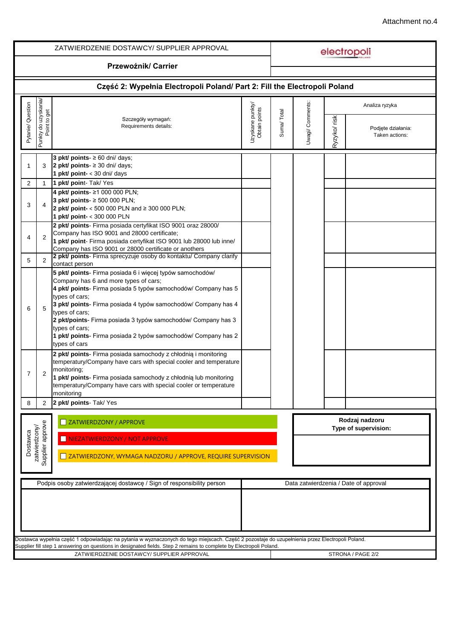| Przewoźnik/ Carrier<br>Część 2: Wypełnia Electropoli Poland/ Part 2: Fill the Electropoli Poland<br>ouzyskania/<br>t to get<br>Uwagi/ Comments:<br>Pytanie/ Question<br>Uzyskane punkty/<br>Analiza ryzyka<br>Obtain points<br>Suma/Total<br>Ryzyko/ risk<br>Szczegóły wymagań:<br>Punkty do u<br>Requirements details:<br>Podjęte działania:<br>Taken actions:<br>3 pkt/ points- $\geq 60$ dni/ days;<br>3<br>2 pkt/ points- $\geq$ 30 dni/ days;<br>1<br>1 $pkt/$ point- < 30 dni/ days<br>1 pkt/ point- Tak/ Yes<br>2<br>$\mathbf{1}$<br>4 pkt/ points- ≥1 000 000 PLN;<br>3 pkt/ points- ≥ 500 000 PLN;<br>4<br>3<br>2 pkt/ point- < 500 000 PLN and ≥ 300 000 PLN;<br>1 pkt/ point- < 300 000 PLN<br>2 pkt/ points- Firma posiada certyfikat ISO 9001 oraz 28000/<br>Company has ISO 9001 and 28000 certificate;<br>2<br>4<br>1 pkt/ point- Firma posiada certyfikat ISO 9001 lub 28000 lub inne/<br>Company has ISO 9001 or 28000 certificate or anothers<br>2 pkt/ points- Firma sprecyzuje osoby do kontaktu/ Company clarify<br>2<br>5<br>contact person<br>5 pkt/ points- Firma posiada 6 i więcej typów samochodów/<br>Company has 6 and more types of cars;<br>4 pkt/ points- Firma posiada 5 typów samochodów/ Company has 5<br>types of cars;<br>3 pkt/ points- Firma posiada 4 typów samochodów/ Company has 4<br>5<br>6<br>types of cars;<br>2 pkt/points- Firma posiada 3 typów samochodów/ Company has 3<br>types of cars;<br>1 pkt/ points- Firma posiada 2 typów samochodów/ Company has 2<br>types of cars<br>2 pkt/ points- Firma posiada samochody z chłodnią i monitoring<br>temperatury/Company have cars with special cooler and temperature<br>monitoring;<br>2<br>7<br>1 pkt/ points- Firma posiada samochody z chłodnią lub monitoring<br>temperatury/Company have cars with special cooler or temperature<br>monitoring<br>2 pkt/ points- Tak/ Yes<br>$\overline{2}$<br>8<br>Rodzaj nadzoru<br>ZATWIERDZONY / APPROVE<br>$\overline{\phantom{a}}$<br>Supplier approve<br>zatwierdzony/<br>Type of supervision:<br>Dostawca<br>NIEZATWIERDZONY / NOT APPROVE<br>ZATWIERDZONY, WYMAGA NADZORU / APPROVE, REQUIRE SUPERVISION<br>Podpis osoby zatwierdzającej dostawcę / Sign of responsibility person<br>Data zatwierdzenia / Date of approval<br>Dostawca wypełnia część 1 odpowiadając na pytania w wyznaczonych do tego miejscach. Część 2 pozostaje do uzupełnienia przez Electropoli Poland.<br>Supplier fill step 1 answering on questions in designated fields. Step 2 remains to complete by Electropoli Poland.<br>STRONA / PAGE 2/2 |  | ZATWIERDZENIE DOSTAWCY/SUPPLIER APPROVAL  |  |  | electropoli |
|---------------------------------------------------------------------------------------------------------------------------------------------------------------------------------------------------------------------------------------------------------------------------------------------------------------------------------------------------------------------------------------------------------------------------------------------------------------------------------------------------------------------------------------------------------------------------------------------------------------------------------------------------------------------------------------------------------------------------------------------------------------------------------------------------------------------------------------------------------------------------------------------------------------------------------------------------------------------------------------------------------------------------------------------------------------------------------------------------------------------------------------------------------------------------------------------------------------------------------------------------------------------------------------------------------------------------------------------------------------------------------------------------------------------------------------------------------------------------------------------------------------------------------------------------------------------------------------------------------------------------------------------------------------------------------------------------------------------------------------------------------------------------------------------------------------------------------------------------------------------------------------------------------------------------------------------------------------------------------------------------------------------------------------------------------------------------------------------------------------------------------------------------------------------------------------------------------------------------------------------------------------------------------------------------------------------------------------------------------------------------------------------------------------------------------------------------------------------------------------------------------------------------------------------------------------------------|--|-------------------------------------------|--|--|-------------|
|                                                                                                                                                                                                                                                                                                                                                                                                                                                                                                                                                                                                                                                                                                                                                                                                                                                                                                                                                                                                                                                                                                                                                                                                                                                                                                                                                                                                                                                                                                                                                                                                                                                                                                                                                                                                                                                                                                                                                                                                                                                                                                                                                                                                                                                                                                                                                                                                                                                                                                                                                                           |  |                                           |  |  |             |
|                                                                                                                                                                                                                                                                                                                                                                                                                                                                                                                                                                                                                                                                                                                                                                                                                                                                                                                                                                                                                                                                                                                                                                                                                                                                                                                                                                                                                                                                                                                                                                                                                                                                                                                                                                                                                                                                                                                                                                                                                                                                                                                                                                                                                                                                                                                                                                                                                                                                                                                                                                           |  |                                           |  |  |             |
|                                                                                                                                                                                                                                                                                                                                                                                                                                                                                                                                                                                                                                                                                                                                                                                                                                                                                                                                                                                                                                                                                                                                                                                                                                                                                                                                                                                                                                                                                                                                                                                                                                                                                                                                                                                                                                                                                                                                                                                                                                                                                                                                                                                                                                                                                                                                                                                                                                                                                                                                                                           |  |                                           |  |  |             |
|                                                                                                                                                                                                                                                                                                                                                                                                                                                                                                                                                                                                                                                                                                                                                                                                                                                                                                                                                                                                                                                                                                                                                                                                                                                                                                                                                                                                                                                                                                                                                                                                                                                                                                                                                                                                                                                                                                                                                                                                                                                                                                                                                                                                                                                                                                                                                                                                                                                                                                                                                                           |  |                                           |  |  |             |
|                                                                                                                                                                                                                                                                                                                                                                                                                                                                                                                                                                                                                                                                                                                                                                                                                                                                                                                                                                                                                                                                                                                                                                                                                                                                                                                                                                                                                                                                                                                                                                                                                                                                                                                                                                                                                                                                                                                                                                                                                                                                                                                                                                                                                                                                                                                                                                                                                                                                                                                                                                           |  |                                           |  |  |             |
|                                                                                                                                                                                                                                                                                                                                                                                                                                                                                                                                                                                                                                                                                                                                                                                                                                                                                                                                                                                                                                                                                                                                                                                                                                                                                                                                                                                                                                                                                                                                                                                                                                                                                                                                                                                                                                                                                                                                                                                                                                                                                                                                                                                                                                                                                                                                                                                                                                                                                                                                                                           |  |                                           |  |  |             |
|                                                                                                                                                                                                                                                                                                                                                                                                                                                                                                                                                                                                                                                                                                                                                                                                                                                                                                                                                                                                                                                                                                                                                                                                                                                                                                                                                                                                                                                                                                                                                                                                                                                                                                                                                                                                                                                                                                                                                                                                                                                                                                                                                                                                                                                                                                                                                                                                                                                                                                                                                                           |  |                                           |  |  |             |
|                                                                                                                                                                                                                                                                                                                                                                                                                                                                                                                                                                                                                                                                                                                                                                                                                                                                                                                                                                                                                                                                                                                                                                                                                                                                                                                                                                                                                                                                                                                                                                                                                                                                                                                                                                                                                                                                                                                                                                                                                                                                                                                                                                                                                                                                                                                                                                                                                                                                                                                                                                           |  |                                           |  |  |             |
|                                                                                                                                                                                                                                                                                                                                                                                                                                                                                                                                                                                                                                                                                                                                                                                                                                                                                                                                                                                                                                                                                                                                                                                                                                                                                                                                                                                                                                                                                                                                                                                                                                                                                                                                                                                                                                                                                                                                                                                                                                                                                                                                                                                                                                                                                                                                                                                                                                                                                                                                                                           |  |                                           |  |  |             |
|                                                                                                                                                                                                                                                                                                                                                                                                                                                                                                                                                                                                                                                                                                                                                                                                                                                                                                                                                                                                                                                                                                                                                                                                                                                                                                                                                                                                                                                                                                                                                                                                                                                                                                                                                                                                                                                                                                                                                                                                                                                                                                                                                                                                                                                                                                                                                                                                                                                                                                                                                                           |  |                                           |  |  |             |
|                                                                                                                                                                                                                                                                                                                                                                                                                                                                                                                                                                                                                                                                                                                                                                                                                                                                                                                                                                                                                                                                                                                                                                                                                                                                                                                                                                                                                                                                                                                                                                                                                                                                                                                                                                                                                                                                                                                                                                                                                                                                                                                                                                                                                                                                                                                                                                                                                                                                                                                                                                           |  |                                           |  |  |             |
|                                                                                                                                                                                                                                                                                                                                                                                                                                                                                                                                                                                                                                                                                                                                                                                                                                                                                                                                                                                                                                                                                                                                                                                                                                                                                                                                                                                                                                                                                                                                                                                                                                                                                                                                                                                                                                                                                                                                                                                                                                                                                                                                                                                                                                                                                                                                                                                                                                                                                                                                                                           |  |                                           |  |  |             |
|                                                                                                                                                                                                                                                                                                                                                                                                                                                                                                                                                                                                                                                                                                                                                                                                                                                                                                                                                                                                                                                                                                                                                                                                                                                                                                                                                                                                                                                                                                                                                                                                                                                                                                                                                                                                                                                                                                                                                                                                                                                                                                                                                                                                                                                                                                                                                                                                                                                                                                                                                                           |  |                                           |  |  |             |
|                                                                                                                                                                                                                                                                                                                                                                                                                                                                                                                                                                                                                                                                                                                                                                                                                                                                                                                                                                                                                                                                                                                                                                                                                                                                                                                                                                                                                                                                                                                                                                                                                                                                                                                                                                                                                                                                                                                                                                                                                                                                                                                                                                                                                                                                                                                                                                                                                                                                                                                                                                           |  | ZATWIERDZENIE DOSTAWCY/ SUPPLIER APPROVAL |  |  |             |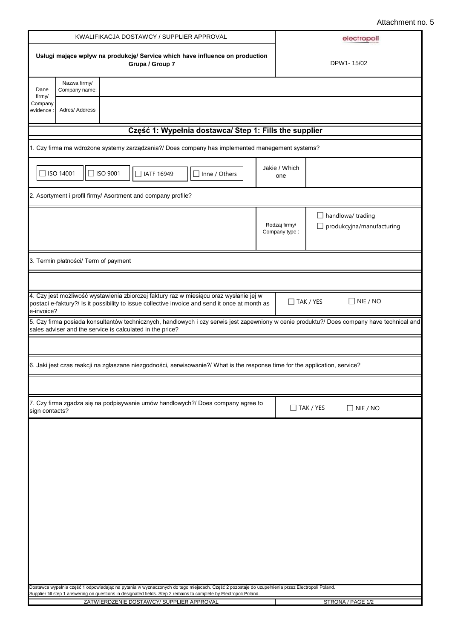|                                                                                                                                                                                                                                                                                                                                                                                                                                                                                                                                                                                                                                                                                                                                                                                                                                                                                                                                                                                                                                                                                                                                                                                                                                                                                                                                                       |                |                               |     | electropoli                                                  |
|-------------------------------------------------------------------------------------------------------------------------------------------------------------------------------------------------------------------------------------------------------------------------------------------------------------------------------------------------------------------------------------------------------------------------------------------------------------------------------------------------------------------------------------------------------------------------------------------------------------------------------------------------------------------------------------------------------------------------------------------------------------------------------------------------------------------------------------------------------------------------------------------------------------------------------------------------------------------------------------------------------------------------------------------------------------------------------------------------------------------------------------------------------------------------------------------------------------------------------------------------------------------------------------------------------------------------------------------------------|----------------|-------------------------------|-----|--------------------------------------------------------------|
|                                                                                                                                                                                                                                                                                                                                                                                                                                                                                                                                                                                                                                                                                                                                                                                                                                                                                                                                                                                                                                                                                                                                                                                                                                                                                                                                                       |                | Grupa / Group 7               |     | DPW1-15/02                                                   |
| Dane                                                                                                                                                                                                                                                                                                                                                                                                                                                                                                                                                                                                                                                                                                                                                                                                                                                                                                                                                                                                                                                                                                                                                                                                                                                                                                                                                  | Nazwa firmy/   |                               |     |                                                              |
| firmy/<br>Company<br>evidence                                                                                                                                                                                                                                                                                                                                                                                                                                                                                                                                                                                                                                                                                                                                                                                                                                                                                                                                                                                                                                                                                                                                                                                                                                                                                                                         | Adres/ Address |                               |     |                                                              |
|                                                                                                                                                                                                                                                                                                                                                                                                                                                                                                                                                                                                                                                                                                                                                                                                                                                                                                                                                                                                                                                                                                                                                                                                                                                                                                                                                       |                |                               |     |                                                              |
|                                                                                                                                                                                                                                                                                                                                                                                                                                                                                                                                                                                                                                                                                                                                                                                                                                                                                                                                                                                                                                                                                                                                                                                                                                                                                                                                                       |                |                               |     |                                                              |
|                                                                                                                                                                                                                                                                                                                                                                                                                                                                                                                                                                                                                                                                                                                                                                                                                                                                                                                                                                                                                                                                                                                                                                                                                                                                                                                                                       |                | □ IATF 16949<br>Inne / Others | one |                                                              |
|                                                                                                                                                                                                                                                                                                                                                                                                                                                                                                                                                                                                                                                                                                                                                                                                                                                                                                                                                                                                                                                                                                                                                                                                                                                                                                                                                       |                |                               |     |                                                              |
|                                                                                                                                                                                                                                                                                                                                                                                                                                                                                                                                                                                                                                                                                                                                                                                                                                                                                                                                                                                                                                                                                                                                                                                                                                                                                                                                                       |                |                               |     | $\Box$ handlowa/ trading<br>$\Box$ produkcyjna/manufacturing |
|                                                                                                                                                                                                                                                                                                                                                                                                                                                                                                                                                                                                                                                                                                                                                                                                                                                                                                                                                                                                                                                                                                                                                                                                                                                                                                                                                       |                |                               |     |                                                              |
|                                                                                                                                                                                                                                                                                                                                                                                                                                                                                                                                                                                                                                                                                                                                                                                                                                                                                                                                                                                                                                                                                                                                                                                                                                                                                                                                                       |                |                               |     |                                                              |
|                                                                                                                                                                                                                                                                                                                                                                                                                                                                                                                                                                                                                                                                                                                                                                                                                                                                                                                                                                                                                                                                                                                                                                                                                                                                                                                                                       |                |                               |     | $\Box$ NIE / NO                                              |
|                                                                                                                                                                                                                                                                                                                                                                                                                                                                                                                                                                                                                                                                                                                                                                                                                                                                                                                                                                                                                                                                                                                                                                                                                                                                                                                                                       |                |                               |     |                                                              |
|                                                                                                                                                                                                                                                                                                                                                                                                                                                                                                                                                                                                                                                                                                                                                                                                                                                                                                                                                                                                                                                                                                                                                                                                                                                                                                                                                       |                |                               |     |                                                              |
|                                                                                                                                                                                                                                                                                                                                                                                                                                                                                                                                                                                                                                                                                                                                                                                                                                                                                                                                                                                                                                                                                                                                                                                                                                                                                                                                                       |                |                               |     |                                                              |
|                                                                                                                                                                                                                                                                                                                                                                                                                                                                                                                                                                                                                                                                                                                                                                                                                                                                                                                                                                                                                                                                                                                                                                                                                                                                                                                                                       |                |                               |     |                                                              |
|                                                                                                                                                                                                                                                                                                                                                                                                                                                                                                                                                                                                                                                                                                                                                                                                                                                                                                                                                                                                                                                                                                                                                                                                                                                                                                                                                       |                |                               |     |                                                              |
|                                                                                                                                                                                                                                                                                                                                                                                                                                                                                                                                                                                                                                                                                                                                                                                                                                                                                                                                                                                                                                                                                                                                                                                                                                                                                                                                                       |                |                               |     | $\Box$ NIE / NO                                              |
|                                                                                                                                                                                                                                                                                                                                                                                                                                                                                                                                                                                                                                                                                                                                                                                                                                                                                                                                                                                                                                                                                                                                                                                                                                                                                                                                                       |                |                               |     |                                                              |
|                                                                                                                                                                                                                                                                                                                                                                                                                                                                                                                                                                                                                                                                                                                                                                                                                                                                                                                                                                                                                                                                                                                                                                                                                                                                                                                                                       |                |                               |     |                                                              |
|                                                                                                                                                                                                                                                                                                                                                                                                                                                                                                                                                                                                                                                                                                                                                                                                                                                                                                                                                                                                                                                                                                                                                                                                                                                                                                                                                       |                |                               |     |                                                              |
|                                                                                                                                                                                                                                                                                                                                                                                                                                                                                                                                                                                                                                                                                                                                                                                                                                                                                                                                                                                                                                                                                                                                                                                                                                                                                                                                                       |                |                               |     |                                                              |
|                                                                                                                                                                                                                                                                                                                                                                                                                                                                                                                                                                                                                                                                                                                                                                                                                                                                                                                                                                                                                                                                                                                                                                                                                                                                                                                                                       |                |                               |     |                                                              |
| Usługi mające wpływ na produkcję/ Service which have influence on production<br>Company name:<br>Część 1: Wypełnia dostawca/ Step 1: Fills the supplier<br>1. Czy firma ma wdrożone systemy zarządzania?/ Does company has implemented manegement systems?<br>Jakie / Which<br>$\Box$ ISO 14001<br>□ ISO 9001<br>2. Asortyment i profil firmy/ Asortment and company profile?<br>Rodzaj firmy/<br>Company type:<br>3. Termin płatności/ Term of payment<br>4. Czy jest możliwość wystawienia zbiorczej faktury raz w miesiącu oraz wysłanie jej w<br>$\Box$ TAK / YES<br>postaci e-faktury?/ Is it possibility to issue collective invoice and send it once at month as<br>e-invoice?<br>sales adviser and the service is calculated in the price?<br>6. Jaki jest czas reakcji na zgłaszane niezgodności, serwisowanie?/ What is the response time for the application, service?<br>7. Czy firma zgadza się na podpisywanie umów handlowych?/ Does company agree to<br>$\Box$ TAK / YES<br>sign contacts?<br>Dostawca wypełnia część 1 odpowiadając na pytania w wyznaczonych do tego miejscach. Część 2 pozostaje do uzupełnienia przez Electropoli Poland.<br>Supplier fill step 1 answering on questions in designated fields. Step 2 remains to complete by Electropoli Poland.<br>STRONA / PAGE 1/2<br>ZATWIERDZENIE DOSTAWCY/SUPPLIER APPROVAL |                |                               |     |                                                              |
| KWALIFIKACJA DOSTAWCY / SUPPLIER APPROVAL<br>5. Czy firma posiada konsultantów technicznych, handlowych i czy serwis jest zapewniony w cenie produktu?/ Does company have technical and                                                                                                                                                                                                                                                                                                                                                                                                                                                                                                                                                                                                                                                                                                                                                                                                                                                                                                                                                                                                                                                                                                                                                               |                |                               |     |                                                              |
|                                                                                                                                                                                                                                                                                                                                                                                                                                                                                                                                                                                                                                                                                                                                                                                                                                                                                                                                                                                                                                                                                                                                                                                                                                                                                                                                                       |                |                               |     |                                                              |
|                                                                                                                                                                                                                                                                                                                                                                                                                                                                                                                                                                                                                                                                                                                                                                                                                                                                                                                                                                                                                                                                                                                                                                                                                                                                                                                                                       |                |                               |     |                                                              |
|                                                                                                                                                                                                                                                                                                                                                                                                                                                                                                                                                                                                                                                                                                                                                                                                                                                                                                                                                                                                                                                                                                                                                                                                                                                                                                                                                       |                |                               |     |                                                              |
|                                                                                                                                                                                                                                                                                                                                                                                                                                                                                                                                                                                                                                                                                                                                                                                                                                                                                                                                                                                                                                                                                                                                                                                                                                                                                                                                                       |                |                               |     |                                                              |
|                                                                                                                                                                                                                                                                                                                                                                                                                                                                                                                                                                                                                                                                                                                                                                                                                                                                                                                                                                                                                                                                                                                                                                                                                                                                                                                                                       |                |                               |     |                                                              |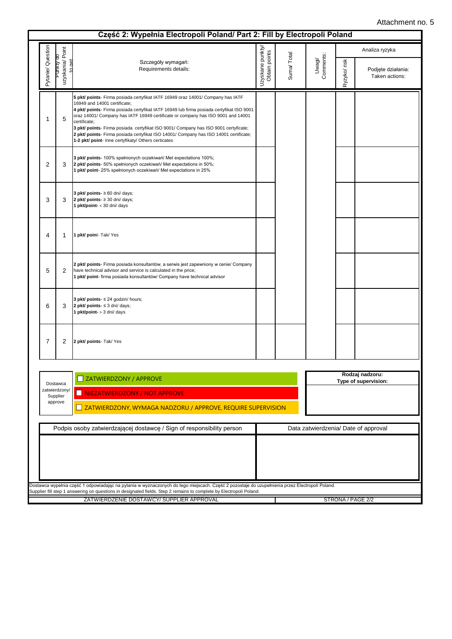|                   |                             |                                                                                                                                                                                                                                                                                                                                                                                                                                                                                                                                                        |                                   |            |                     |              | Analiza ryzyka                       |  |  |  |
|-------------------|-----------------------------|--------------------------------------------------------------------------------------------------------------------------------------------------------------------------------------------------------------------------------------------------------------------------------------------------------------------------------------------------------------------------------------------------------------------------------------------------------------------------------------------------------------------------------------------------------|-----------------------------------|------------|---------------------|--------------|--------------------------------------|--|--|--|
| Pytanie/ Question | uzyskania/Point<br>unkty ao | Szczegóły wymagań:<br>Requirements details:                                                                                                                                                                                                                                                                                                                                                                                                                                                                                                            | Uzyskane punkty/<br>Obtain points | Suma/Total | Comments:<br>Uwagi/ | Ryzyko/ risk | Podjęte działania:<br>Taken actions: |  |  |  |
| 1                 | 5                           | 5 pkt/ points- Firma posiada certyfikat IATF 16949 oraz 14001/ Company has IATF<br>16949 and 14001 certificate;<br>4 pkt/ points- Firma posiada certyfikat IATF 16949 lub firma posiada certyfikat ISO 9001<br>oraz 14001/ Company has IATF 16949 certificate or company has ISO 9001 and 14001<br>certificate:<br>3 pkt/ points- Firma posiada certyfikat ISO 9001/ Company has ISO 9001 certyficate;<br>2 pkt/ points- Firma posiada certyfikat ISO 14001/ Company has ISO 14001 certificate;<br>1-2 pkt/ point- Inne certyfikaty/ Others certicates |                                   |            |                     |              |                                      |  |  |  |
| 2                 | 3                           | 3 pkt/ points- 100% spełnionych oczekiwań/ Met expectations 100%;<br>2 pkt/ points- 50% spełnionych oczekiwań/ Met expectations in 50%;<br>1 pkt/ point- 25% spełnionych oczekiwań/ Met expectations in 25%                                                                                                                                                                                                                                                                                                                                            |                                   |            |                     |              |                                      |  |  |  |
| 3                 | 3                           | 3 pkt/ points- $\geq 60$ dni/ days;<br>2 pkt/ points- $\geq$ 30 dni/ days;<br>1 pkt/point- < 30 dni/ days                                                                                                                                                                                                                                                                                                                                                                                                                                              |                                   |            |                     |              |                                      |  |  |  |
| 4                 | 1                           | 1 pkt/ point- Tak/ Yes                                                                                                                                                                                                                                                                                                                                                                                                                                                                                                                                 |                                   |            |                     |              |                                      |  |  |  |
| 5                 | 2                           | 2 pkt/ points- Firma posiada konsultantów, a serwis jest zapewniony w cenie/ Company<br>have technical advisor and service is calculated in the price;<br>1 pkt/ point- firma posiada konsultantów/ Company have technical advisor                                                                                                                                                                                                                                                                                                                     |                                   |            |                     |              |                                      |  |  |  |
| 6                 | 3                           | 3 pkt/ points- ≤ 24 godzin/ hours;<br>2 pkt/ points- $\leq$ 3 dni/ days;<br>1 pkt/point- > 3 dni/ days                                                                                                                                                                                                                                                                                                                                                                                                                                                 |                                   |            |                     |              |                                      |  |  |  |
| 7                 | 2                           | 2 pkt/ points- Tak/ Yes                                                                                                                                                                                                                                                                                                                                                                                                                                                                                                                                |                                   |            |                     |              |                                      |  |  |  |
|                   |                             |                                                                                                                                                                                                                                                                                                                                                                                                                                                                                                                                                        |                                   |            |                     |              | Rodzaj nadzoru:                      |  |  |  |
|                   | Dostawca<br>zatwierdzony/   | ZATWIERDZONY / APPROVE<br>NIEZATWIERDZONY / NOT APPROVE                                                                                                                                                                                                                                                                                                                                                                                                                                                                                                |                                   |            |                     |              | Type of supervision:                 |  |  |  |
|                   | Supplier<br>approve         | ZATWIERDZONY, WYMAGA NADZORU / APPROVE, REQUIRE SUPERVISION                                                                                                                                                                                                                                                                                                                                                                                                                                                                                            |                                   |            |                     |              |                                      |  |  |  |
|                   |                             | Podpis osoby zatwierdzającej dostawcę / Sign of responsibility person                                                                                                                                                                                                                                                                                                                                                                                                                                                                                  |                                   |            |                     |              | Data zatwierdzenia/ Date of approval |  |  |  |
|                   |                             |                                                                                                                                                                                                                                                                                                                                                                                                                                                                                                                                                        |                                   |            |                     |              |                                      |  |  |  |
|                   |                             | Dostawca wypełnia część 1 odpowiadając na pytania w wyznaczonych do tego miejscach. Część 2 pozostaje do uzupełnienia przez Electropoli Poland.<br>Supplier fill step 1 answering on questions in designated fields. Step 2 remains to complete by Electropoli Poland.                                                                                                                                                                                                                                                                                 |                                   |            |                     |              |                                      |  |  |  |
|                   |                             | ZATWIERDZENIE DOSTAWCY/ SUPPLIER APPROVAL                                                                                                                                                                                                                                                                                                                                                                                                                                                                                                              |                                   |            |                     |              | STRONA / PAGE 2/2                    |  |  |  |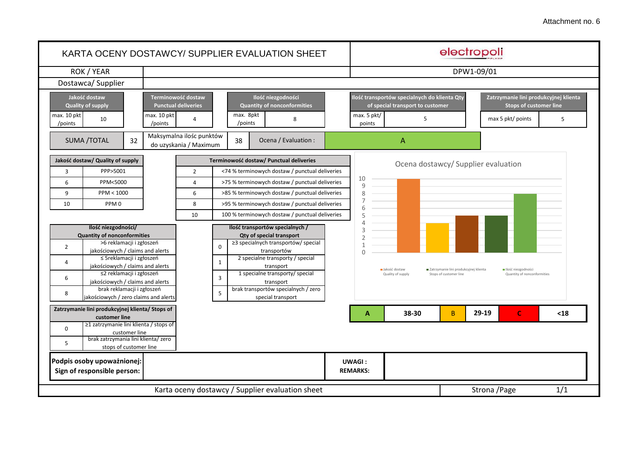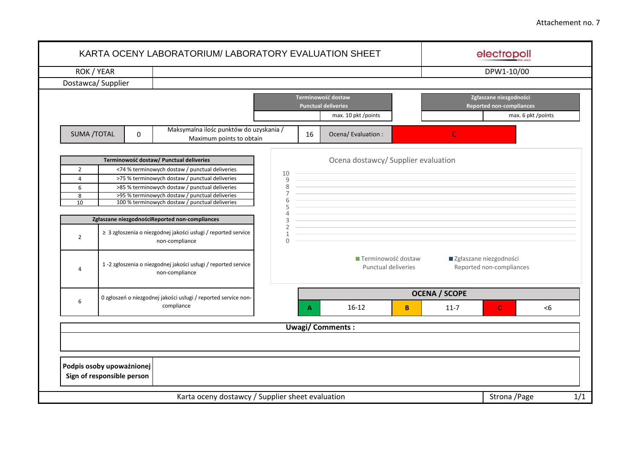| ROK / YEAR         |                                                |                                                                                                  |                          |    |                                                    |   |                                                      | DPW1-10/00                                                |                    |  |  |
|--------------------|------------------------------------------------|--------------------------------------------------------------------------------------------------|--------------------------|----|----------------------------------------------------|---|------------------------------------------------------|-----------------------------------------------------------|--------------------|--|--|
|                    | Dostawca/Supplier                              |                                                                                                  |                          |    |                                                    |   |                                                      |                                                           |                    |  |  |
|                    |                                                |                                                                                                  |                          |    | Terminowość dostaw<br><b>Punctual deliveries</b>   |   |                                                      | Zgłaszane niezgodności<br><b>Reported non-compliances</b> |                    |  |  |
|                    |                                                |                                                                                                  |                          |    | max. 10 pkt /points                                |   |                                                      |                                                           | max. 6 pkt /points |  |  |
| <b>SUMA /TOTAL</b> | 0                                              | Maksymalna ilośc punktów do uzyskania /<br>Maximum points to obtain                              |                          | 16 | Ocena/ Evaluation :                                |   | C                                                    |                                                           |                    |  |  |
|                    |                                                | Terminowość dostaw/ Punctual deliveries                                                          |                          |    | Ocena dostawcy/ Supplier evaluation                |   |                                                      |                                                           |                    |  |  |
| $\overline{2}$     |                                                | <74 % terminowych dostaw / punctual deliveries                                                   | 10                       |    |                                                    |   |                                                      |                                                           |                    |  |  |
| $\overline{4}$     |                                                | >75 % terminowych dostaw / punctual deliveries                                                   | 9                        |    |                                                    |   |                                                      |                                                           |                    |  |  |
| 6                  |                                                | >85 % terminowych dostaw / punctual deliveries                                                   | 8<br>$\overline{7}$      |    |                                                    |   |                                                      |                                                           |                    |  |  |
| 8<br>10            |                                                | >95 % terminowych dostaw / punctual deliveries<br>100 % terminowych dostaw / punctual deliveries | 6                        |    |                                                    |   |                                                      |                                                           |                    |  |  |
|                    |                                                |                                                                                                  | 5<br>$\overline{4}$      |    |                                                    |   |                                                      |                                                           |                    |  |  |
|                    | Zgłaszane niezgodnościReported non-compliances | 3<br>$\overline{2}$                                                                              |                          |    |                                                    |   |                                                      |                                                           |                    |  |  |
| $\overline{2}$     |                                                | ≥ 3 zgłoszenia o niezgodnej jakości usługi / reported service<br>non-compliance                  | $\mathbf{1}$<br>$\Omega$ |    |                                                    |   |                                                      |                                                           |                    |  |  |
| $\overline{4}$     |                                                | 1 -2 zgłoszenia o niezgodnej jakości usługi / reported service<br>non-compliance                 |                          |    | ■ Terminowość dostaw<br><b>Punctual deliveries</b> |   | ■ Zgłaszane niezgodności<br>Reported non-compliances |                                                           |                    |  |  |
|                    |                                                | 0 zgłoszeń o niezgodnej jakości usługi / reported service non-                                   |                          |    |                                                    |   | <b>OCENA / SCOPE</b>                                 |                                                           |                    |  |  |
| 6                  |                                                | compliance                                                                                       |                          |    | $16-12$                                            | B | $11-7$                                               | $\mathsf{C}$                                              | < 6                |  |  |
|                    |                                                |                                                                                                  |                          |    | <b>Uwagi/Comments:</b>                             |   |                                                      |                                                           |                    |  |  |
|                    |                                                |                                                                                                  |                          |    |                                                    |   |                                                      |                                                           |                    |  |  |
|                    | Podpis osoby upoważnionej                      |                                                                                                  |                          |    |                                                    |   |                                                      |                                                           |                    |  |  |
|                    | Sign of responsible person                     |                                                                                                  |                          |    |                                                    |   |                                                      |                                                           |                    |  |  |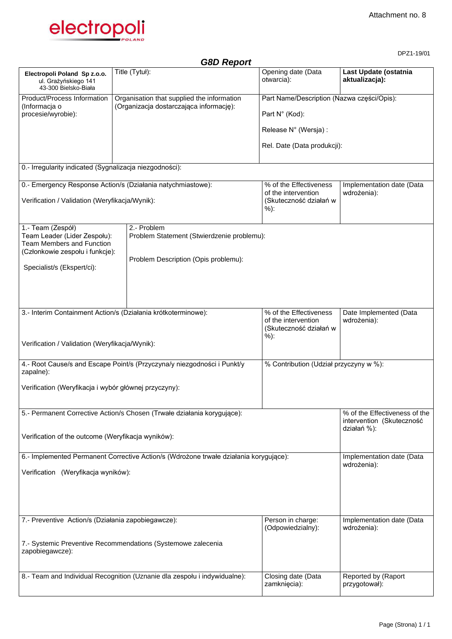DPZ1-19/01



*G8D Report* **Electropoli Poland Sp z.o.o.** ul. Grażyńskiego 141 43-300 Bielsko-Biała Title (Tytuł): Opening date (Data otwarcia): **Last Update (ostatnia aktualizacja):**  Product/Process Information (Informacja o procesie/wyrobie): Organisation that supplied the information (Organizacja dostarczająca informację): Part Name/Description (Nazwa części/Opis): Part N° (Kod): Release N° (Wersja) : Rel. Date (Data produkcji): 0.- Irregularity indicated (Sygnalizacja niezgodności): 0.- Emergency Response Action/s (Działania natychmiastowe): Verification / Validation (Weryfikacja/Wynik): % of the Effectiveness of the intervention (Skuteczność działań w %): Implementation date (Data wdrożenia): 1.- Team (Zespół) Team Leader (Lider Zespołu): Team Members and Function (Członkowie zespołu i funkcje): Specialist/s (Ekspert/ci): 2.- Problem Problem Statement (Stwierdzenie problemu): Problem Description (Opis problemu): 3.- Interim Containment Action/s (Działania krótkoterminowe): Verification / Validation (Weryfikacja/Wynik): % of the Effectiveness of the intervention (Skuteczność działań w %): Date Implemented (Data wdrożenia): 4.- Root Cause/s and Escape Point/s (Przyczyna/y niezgodności i Punkt/y zapalne): Verification (Weryfikacja i wybór głównej przyczyny): % Contribution (Udział przyczyny w %): 5.- Permanent Corrective Action/s Chosen (Trwałe działania korygujące): Verification of the outcome (Weryfikacja wyników): % of the Effectiveness of the intervention (Skuteczność działań %): 6.- Implemented Permanent Corrective Action/s (Wdrożone trwałe działania korygujące): Verification (Weryfikacja wyników): Implementation date (Data wdrożenia): 7.- Preventive Action/s (Działania zapobiegawcze): 7.- Systemic Preventive Recommendations (Systemowe zalecenia zapobiegawcze): Person in charge: (Odpowiedzialny): Implementation date (Data wdrożenia): 8.- Team and Individual Recognition (Uznanie dla zespołu i indywidualne): Closing date (Data zamknięcia): Reported by (Raport przygotował):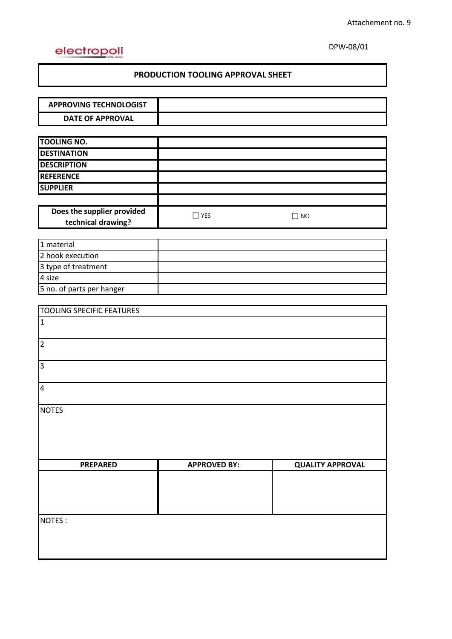# electropoli

DPW-08/01

# **PRODUCTION TOOLING APPROVAL SHEET**

| <b>APPROVING TECHNOLOGIST</b>    |                     |                         |
|----------------------------------|---------------------|-------------------------|
| <b>DATE OF APPROVAL</b>          |                     |                         |
|                                  |                     |                         |
| <b>TOOLING NO.</b>               |                     |                         |
| <b>DESTINATION</b>               |                     |                         |
| <b>DESCRIPTION</b>               |                     |                         |
| <b>REFERENCE</b>                 |                     |                         |
| <b>SUPPLIER</b>                  |                     |                         |
|                                  |                     |                         |
| Does the supplier provided       | $\Box$ YES          | $\Box$ NO               |
| technical drawing?               |                     |                         |
|                                  |                     |                         |
| 1 material                       |                     |                         |
| 2 hook execution                 |                     |                         |
| 3 type of treatment              |                     |                         |
| 4 size                           |                     |                         |
| 5 no. of parts per hanger        |                     |                         |
|                                  |                     |                         |
| <b>TOOLING SPECIFIC FEATURES</b> |                     |                         |
| $\mathbf{1}$                     |                     |                         |
|                                  |                     |                         |
| $\overline{2}$                   |                     |                         |
| 3                                |                     |                         |
|                                  |                     |                         |
| $\overline{\mathbf{4}}$          |                     |                         |
|                                  |                     |                         |
| <b>NOTES</b>                     |                     |                         |
|                                  |                     |                         |
|                                  |                     |                         |
|                                  |                     |                         |
|                                  |                     |                         |
| <b>PREPARED</b>                  | <b>APPROVED BY:</b> | <b>QUALITY APPROVAL</b> |
|                                  |                     |                         |
|                                  |                     |                         |
|                                  |                     |                         |
|                                  |                     |                         |
| NOTES:                           |                     |                         |
|                                  |                     |                         |
|                                  |                     |                         |
|                                  |                     |                         |